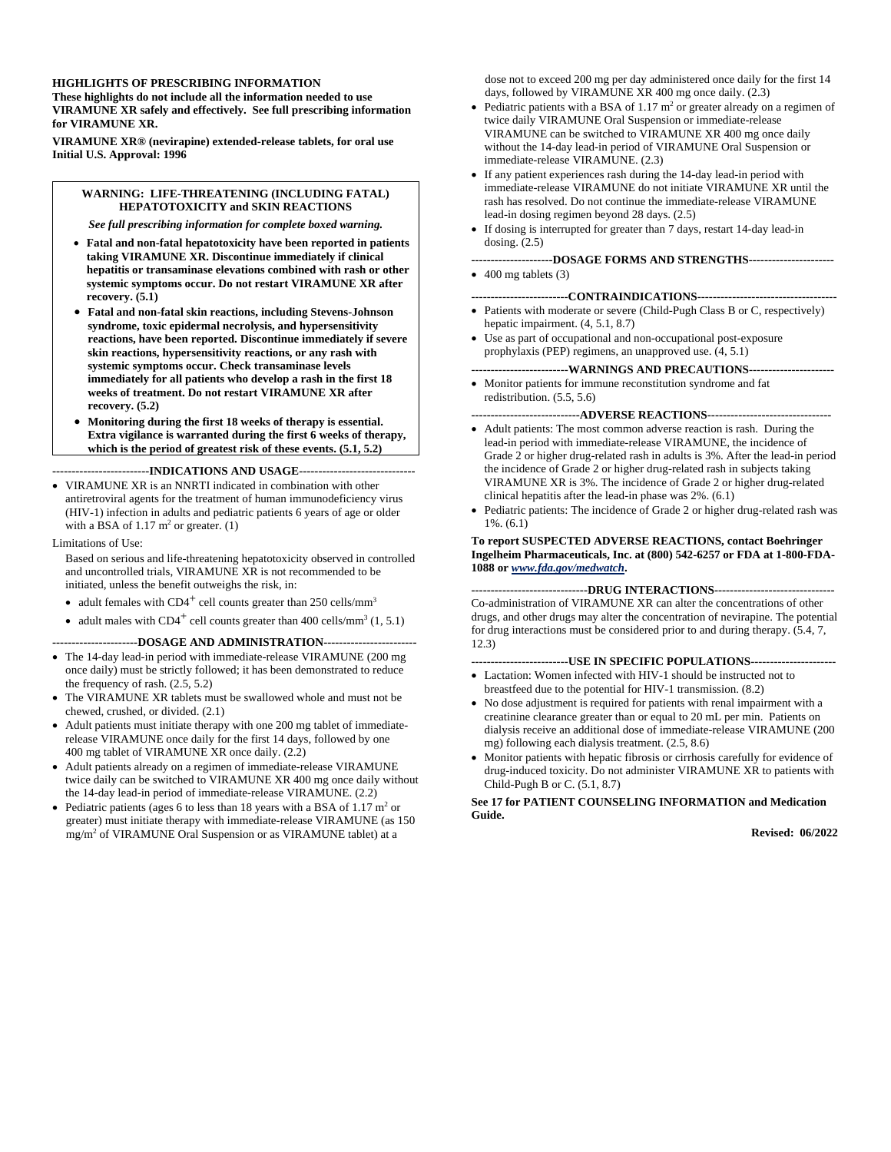#### **HIGHLIGHTS OF PRESCRIBING INFORMATION**

**These highlights do not include all the information needed to use VIRAMUNE XR safely and effectively. See full prescribing information for VIRAMUNE XR.** 

**VIRAMUNE XR® (nevirapine) extended-release tablets, for oral use Initial U.S. Approval: 1996** 

### **WARNING: LIFE-THREATENING (INCLUDING FATAL) HEPATOTOXICITY and SKIN REACTIONS**

*See full prescribing information for complete boxed warning.* 

- **Fatal and non-fatal hepatotoxicity have been reported in patients taking VIRAMUNE XR. Discontinue immediately if clinical hepatitis or transaminase elevations combined with rash or other systemic symptoms occur. Do not restart VIRAMUNE XR after recovery. (5.1)**
- **Fatal and non-fatal skin reactions, including Stevens-Johnson syndrome, toxic epidermal necrolysis, and hypersensitivity reactions, have been reported. Discontinue immediately if severe skin reactions, hypersensitivity reactions, or any rash with systemic symptoms occur. Check transaminase levels immediately for all patients who develop a rash in the first 18 weeks of treatment. Do not restart VIRAMUNE XR after recovery. (5.2)**
- **Monitoring during the first 18 weeks of therapy is essential. Extra vigilance is warranted during the first 6 weeks of therapy, which is the period of greatest risk of these events. (5.1, 5.2)**

#### **-------------------------INDICATIONS AND USAGE------------------------------**

 VIRAMUNE XR is an NNRTI indicated in combination with other antiretroviral agents for the treatment of human immunodeficiency virus (HIV-1) infection in adults and pediatric patients 6 years of age or older with a BSA of  $1.17 \text{ m}^2$  or greater. (1)

#### Limitations of Use:

Based on serious and life-threatening hepatotoxicity observed in controlled and uncontrolled trials, VIRAMUNE XR is not recommended to be initiated, unless the benefit outweighs the risk, in:

- adult females with  $CD4^+$  cell counts greater than 250 cells/mm<sup>3</sup>
- adult males with  $CD4^+$  cell counts greater than 400 cells/mm<sup>3</sup> (1, 5.1)

### **----------------------DOSAGE AND ADMINISTRATION------------------------**

- The 14-day lead-in period with immediate-release VIRAMUNE (200 mg once daily) must be strictly followed; it has been demonstrated to reduce the frequency of rash. (2.5, 5.2)
- The VIRAMUNE XR tablets must be swallowed whole and must not be chewed, crushed, or divided. (2.1)
- Adult patients must initiate therapy with one 200 mg tablet of immediaterelease VIRAMUNE once daily for the first 14 days, followed by one 400 mg tablet of VIRAMUNE XR once daily. (2.2)
- Adult patients already on a regimen of immediate-release VIRAMUNE twice daily can be switched to VIRAMUNE XR 400 mg once daily without the 14-day lead-in period of immediate-release VIRAMUNE. (2.2)
- Pediatric patients (ages 6 to less than 18 years with a BSA of  $1.17 \text{ m}^2$  or greater) must initiate therapy with immediate-release VIRAMUNE (as 150 mg/m2 of VIRAMUNE Oral Suspension or as VIRAMUNE tablet) at a

dose not to exceed 200 mg per day administered once daily for the first 14 days, followed by VIRAMUNE XR 400 mg once daily. (2.3)

- Pediatric patients with a BSA of 1.17  $m<sup>2</sup>$  or greater already on a regimen of twice daily VIRAMUNE Oral Suspension or immediate-release VIRAMUNE can be switched to VIRAMUNE XR 400 mg once daily without the 14-day lead-in period of VIRAMUNE Oral Suspension or immediate-release VIRAMUNE. (2.3)
- If any patient experiences rash during the 14-day lead-in period with immediate-release VIRAMUNE do not initiate VIRAMUNE XR until the rash has resolved. Do not continue the immediate-release VIRAMUNE lead-in dosing regimen beyond 28 days. (2.5)
- If dosing is interrupted for greater than 7 days, restart 14-day lead-in dosing. (2.5)

#### **---------------------DOSAGE FORMS AND STRENGTHS----------------------**

 $\bullet$  400 mg tablets (3)

#### **-------------------------CONTRAINDICATIONS------------------------------------**

- Patients with moderate or severe (Child-Pugh Class B or C, respectively) hepatic impairment. (4, 5.1, 8.7)
- Use as part of occupational and non-occupational post-exposure prophylaxis (PEP) regimens, an unapproved use. (4, 5.1)

---WARNINGS AND PRECAUTIONS--

 Monitor patients for immune reconstitution syndrome and fat redistribution. (5.5, 5.6)

## **----------------------------ADVERSE REACTIONS--------------------------------**

- Adult patients: The most common adverse reaction is rash. During the lead-in period with immediate-release VIRAMUNE, the incidence of Grade 2 or higher drug-related rash in adults is 3%. After the lead-in period the incidence of Grade 2 or higher drug-related rash in subjects taking VIRAMUNE XR is 3%. The incidence of Grade 2 or higher drug-related clinical hepatitis after the lead-in phase was 2%. (6.1)
- Pediatric patients: The incidence of Grade 2 or higher drug-related rash was 1%. (6.1)

#### **To report SUSPECTED ADVERSE REACTIONS, contact Boehringer Ingelheim Pharmaceuticals, Inc. at (800) 542-6257 or FDA at 1-800-FDA-1088 or** *www.fda.gov/medwatch***.**

**------------------------------DRUG INTERACTIONS-------------------------------**  Co-administration of VIRAMUNE XR can alter the concentrations of other drugs, and other drugs may alter the concentration of nevirapine. The potential for drug interactions must be considered prior to and during therapy. (5.4, 7, 12.3)

#### **-------------------------USE IN SPECIFIC POPULATIONS----------------------**

- Lactation: Women infected with HIV-1 should be instructed not to breastfeed due to the potential for HIV-1 transmission. (8.2)
- No dose adjustment is required for patients with renal impairment with a creatinine clearance greater than or equal to 20 mL per min. Patients on dialysis receive an additional dose of immediate-release VIRAMUNE (200 mg) following each dialysis treatment. (2.5, 8.6)
- Monitor patients with hepatic fibrosis or cirrhosis carefully for evidence of drug-induced toxicity. Do not administer VIRAMUNE XR to patients with Child-Pugh B or C. (5.1, 8.7)

**See 17 for PATIENT COUNSELING INFORMATION and Medication Guide.** 

**Revised: 06/2022**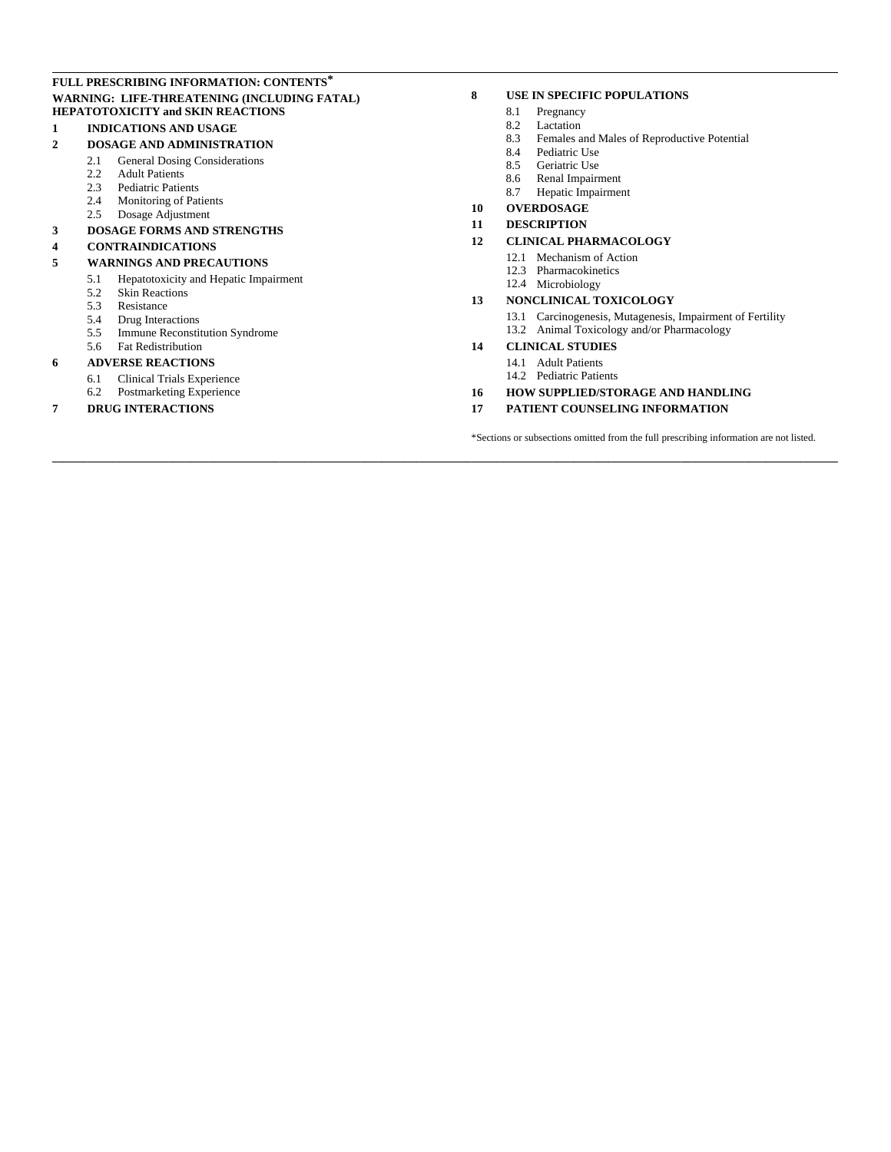### **FULL PRESCRIBING INFORMATION: CONTENTS\* WARNING: LIFE-THREATENING (INCLUDING FATAL) HEPATOTOXICITY and SKIN REACTIONS**

## **1 INDICATIONS AND USAGE**

## **2 DOSAGE AND ADMINISTRATION**

- 2.1 General Dosing Considerations<br>2.2 Adult Patients
- Adult Patients
- 2.3 Pediatric Patients
- 2.4 Monitoring of Patients
- 2.5 Dosage Adjustment

# **3 DOSAGE FORMS AND STRENGTHS**

# **4 CONTRAINDICATIONS**

## **5 WARNINGS AND PRECAUTIONS**

- 5.1 Hepatotoxicity and Hepatic Impairment
- 5.2 Skin Reactions
- 5.3 Resistance<br>5.4 Drug Intera
- 5.4 Drug Interactions
- 5.5 Immune Reconstitution Syndrome
- 5.6 Fat Redistribution

## **6 ADVERSE REACTIONS**

- 6.1 Clinical Trials Experience<br>6.2 Postmarketing Experience
- Postmarketing Experience

## **7 DRUG INTERACTIONS**

### **8 USE IN SPECIFIC POPULATIONS**

- 8.1 Pregnancy
- 8.2 Lactation<br>8.3 Females a
- Females and Males of Reproductive Potential
- 8.4 Pediatric Use<br>8.5 Geriatric Use
- Geriatric Use
- 8.6 Renal Impairment
- 8.7 Hepatic Impairment

#### **10 OVERDOSAGE**

#### **11 DESCRIPTION**

#### **12 CLINICAL PHARMACOLOGY**

- 12.1 Mechanism of Action
- 12.3 Pharmacokinetics
- 12.4 Microbiology

### **13 NONCLINICAL TOXICOLOGY**

- 13.1 Carcinogenesis, Mutagenesis, Impairment of Fertility
- 13.2 Animal Toxicology and/or Pharmacology

### **14 CLINICAL STUDIES**

**\_\_\_\_\_\_\_\_\_\_\_\_\_\_\_\_\_\_\_\_\_\_\_\_\_\_\_\_\_\_\_\_\_\_\_\_\_\_\_\_\_\_\_\_\_\_\_\_\_\_\_\_\_\_\_\_\_\_\_\_\_\_\_\_\_\_\_\_\_\_\_\_\_\_\_\_\_\_\_\_\_\_\_\_\_\_\_\_\_\_\_\_\_\_\_\_\_\_\_\_\_\_\_\_\_\_\_\_\_\_\_\_\_\_\_\_\_\_\_\_\_\_\_\_\_\_\_\_\_\_\_\_\_\_\_** 

- 14.1 Adult Patients
- 14.2 Pediatric Patients
- **16 HOW SUPPLIED/STORAGE AND HANDLING**
- **17 PATIENT COUNSELING INFORMATION**

\*Sections or subsections omitted from the full prescribing information are not listed.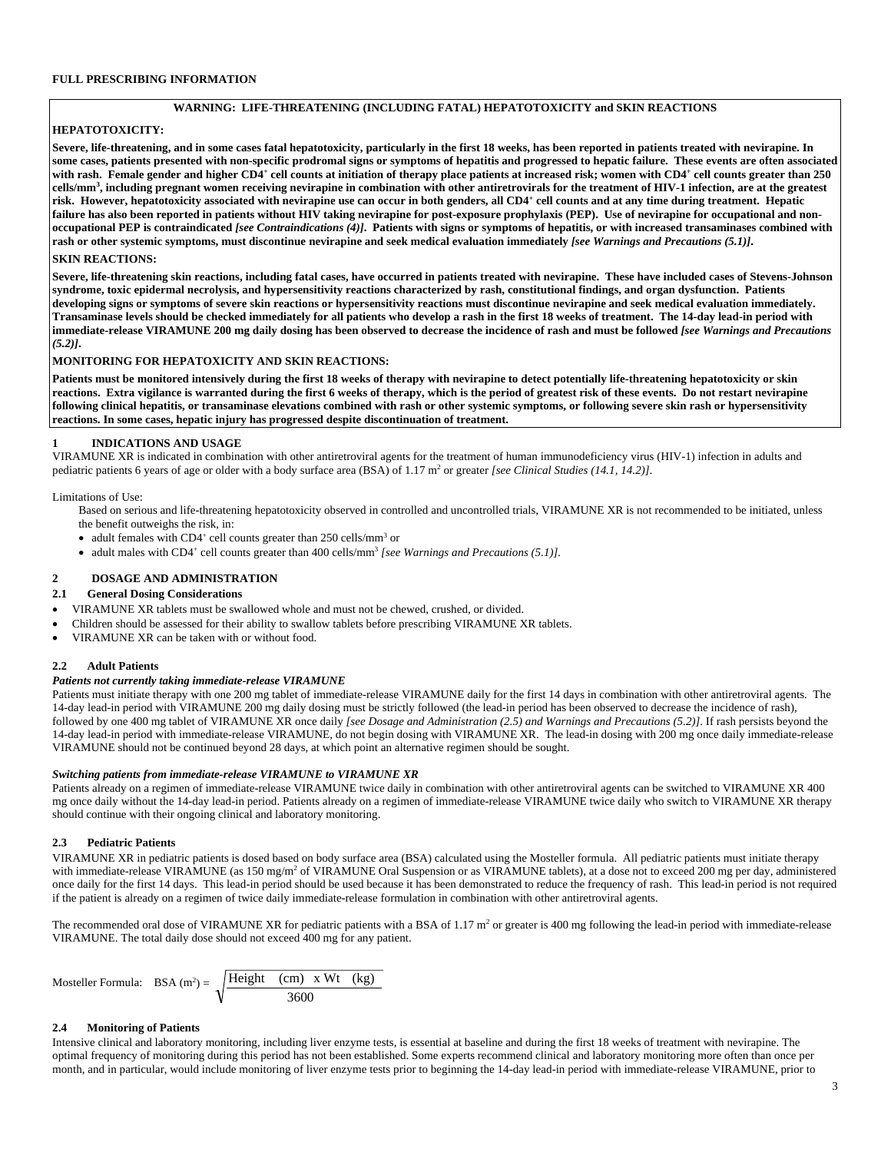### **WARNING: LIFE-THREATENING (INCLUDING FATAL) HEPATOTOXICITY and SKIN REACTIONS**

### **HEPATOTOXICITY:**

**Severe, life-threatening, and in some cases fatal hepatotoxicity, particularly in the first 18 weeks, has been reported in patients treated with nevirapine. In**  some cases, patients presented with non-specific prodromal signs or symptoms of hepatitis and progressed to hepatic failure. These events are often associated with rash. Female gender and higher CD4<sup>+</sup> cell counts at initiation of therapy place patients at increased risk; women with CD4<sup>+</sup> cell counts greater than 250 **cells/mm3 , including pregnant women receiving nevirapine in combination with other antiretrovirals for the treatment of HIV-1 infection, are at the greatest risk. However, hepatotoxicity associated with nevirapine use can occur in both genders, all CD4+ cell counts and at any time during treatment. Hepatic**  failure has also been reported in patients without HIV taking nevirapine for post-exposure prophylaxis (PEP). Use of nevirapine for occupational and non**occupational PEP is contraindicated** *[see Contraindications (4)]***. Patients with signs or symptoms of hepatitis, or with increased transaminases combined with**  rash or other systemic symptoms, must discontinue nevirapine and seek medical evaluation immediately *[see Warnings and Precautions (5.1)*].

## **SKIN REACTIONS:**

**Severe, life-threatening skin reactions, including fatal cases, have occurred in patients treated with nevirapine. These have included cases of Stevens-Johnson syndrome, toxic epidermal necrolysis, and hypersensitivity reactions characterized by rash, constitutional findings, and organ dysfunction. Patients developing signs or symptoms of severe skin reactions or hypersensitivity reactions must discontinue nevirapine and seek medical evaluation immediately. Transaminase levels should be checked immediately for all patients who develop a rash in the first 18 weeks of treatment. The 14-day lead-in period with immediate-release VIRAMUNE 200 mg daily dosing has been observed to decrease the incidence of rash and must be followed** *[see Warnings and Precautions (5.2)]***.** 

#### **MONITORING FOR HEPATOXICITY AND SKIN REACTIONS:**

Patients must be monitored intensively during the first 18 weeks of therapy with nevirapine to detect potentially life-threatening hepatotoxicity or skin **reactions. Extra vigilance is warranted during the first 6 weeks of therapy, which is the period of greatest risk of these events. Do not restart nevirapine following clinical hepatitis, or transaminase elevations combined with rash or other systemic symptoms, or following severe skin rash or hypersensitivity reactions. In some cases, hepatic injury has progressed despite discontinuation of treatment.** 

#### **1 INDICATIONS AND USAGE**

VIRAMUNE XR is indicated in combination with other antiretroviral agents for the treatment of human immunodeficiency virus (HIV-1) infection in adults and pediatric patients 6 years of age or older with a body surface area (BSA) of 1.17 m<sup>2</sup> or greater *[see Clinical Studies (14.1, 14.2)]*.

Limitations of Use:

Based on serious and life-threatening hepatotoxicity observed in controlled and uncontrolled trials, VIRAMUNE XR is not recommended to be initiated, unless the benefit outweighs the risk, in:

- adult females with CD4<sup>+</sup> cell counts greater than  $250$  cells/mm<sup>3</sup> or
- adult males with CD4<sup>+</sup> cell counts greater than 400 cells/mm<sup>3</sup> *[see Warnings and Precautions (5.1)]*.

# **2 DOSAGE AND ADMINISTRATION**

## **2.1 General Dosing Considerations**

- VIRAMUNE XR tablets must be swallowed whole and must not be chewed, crushed, or divided.
- Children should be assessed for their ability to swallow tablets before prescribing VIRAMUNE XR tablets.
- VIRAMUNE XR can be taken with or without food.

## **2.2 Adult Patients**

### *Patients not currently taking immediate-release VIRAMUNE*

Patients must initiate therapy with one 200 mg tablet of immediate-release VIRAMUNE daily for the first 14 days in combination with other antiretroviral agents. The 14-day lead-in period with VIRAMUNE 200 mg daily dosing must be strictly followed (the lead-in period has been observed to decrease the incidence of rash), followed by one 400 mg tablet of VIRAMUNE XR once daily *[see Dosage and Administration (2.5) and Warnings and Precautions (5.2)]*. If rash persists beyond the 14-day lead-in period with immediate-release VIRAMUNE, do not begin dosing with VIRAMUNE XR. The lead-in dosing with 200 mg once daily immediate-release VIRAMUNE should not be continued beyond 28 days, at which point an alternative regimen should be sought.

#### *Switching patients from immediate-release VIRAMUNE to VIRAMUNE XR*

Patients already on a regimen of immediate-release VIRAMUNE twice daily in combination with other antiretroviral agents can be switched to VIRAMUNE XR 400 mg once daily without the 14-day lead-in period. Patients already on a regimen of immediate-release VIRAMUNE twice daily who switch to VIRAMUNE XR therapy should continue with their ongoing clinical and laboratory monitoring.

### **2.3 Pediatric Patients**

VIRAMUNE XR in pediatric patients is dosed based on body surface area (BSA) calculated using the Mosteller formula. All pediatric patients must initiate therapy with immediate-release VIRAMUNE (as 150 mg/m<sup>2</sup> of VIRAMUNE Oral Suspension or as VIRAMUNE tablets), at a dose not to exceed 200 mg per day, administered once daily for the first 14 days. This lead-in period should be used because it has been demonstrated to reduce the frequency of rash. This lead-in period is not required if the patient is already on a regimen of twice daily immediate-release formulation in combination with other antiretroviral agents.

The recommended oral dose of VIRAMUNE XR for pediatric patients with a BSA of  $1.17 \text{ m}^2$  or greater is 400 mg following the lead-in period with immediate-release VIRAMUNE. The total daily dose should not exceed 400 mg for any patient.

Mosteller Formula: BSA (m<sup>2</sup>) = 
$$
\sqrt{\frac{Height (cm) \times Wt (kg)}{3600}}
$$

### **2.4 Monitoring of Patients**

Intensive clinical and laboratory monitoring, including liver enzyme tests, is essential at baseline and during the first 18 weeks of treatment with nevirapine. The optimal frequency of monitoring during this period has not been established. Some experts recommend clinical and laboratory monitoring more often than once per month, and in particular, would include monitoring of liver enzyme tests prior to beginning the 14-day lead-in period with immediate-release VIRAMUNE, prior to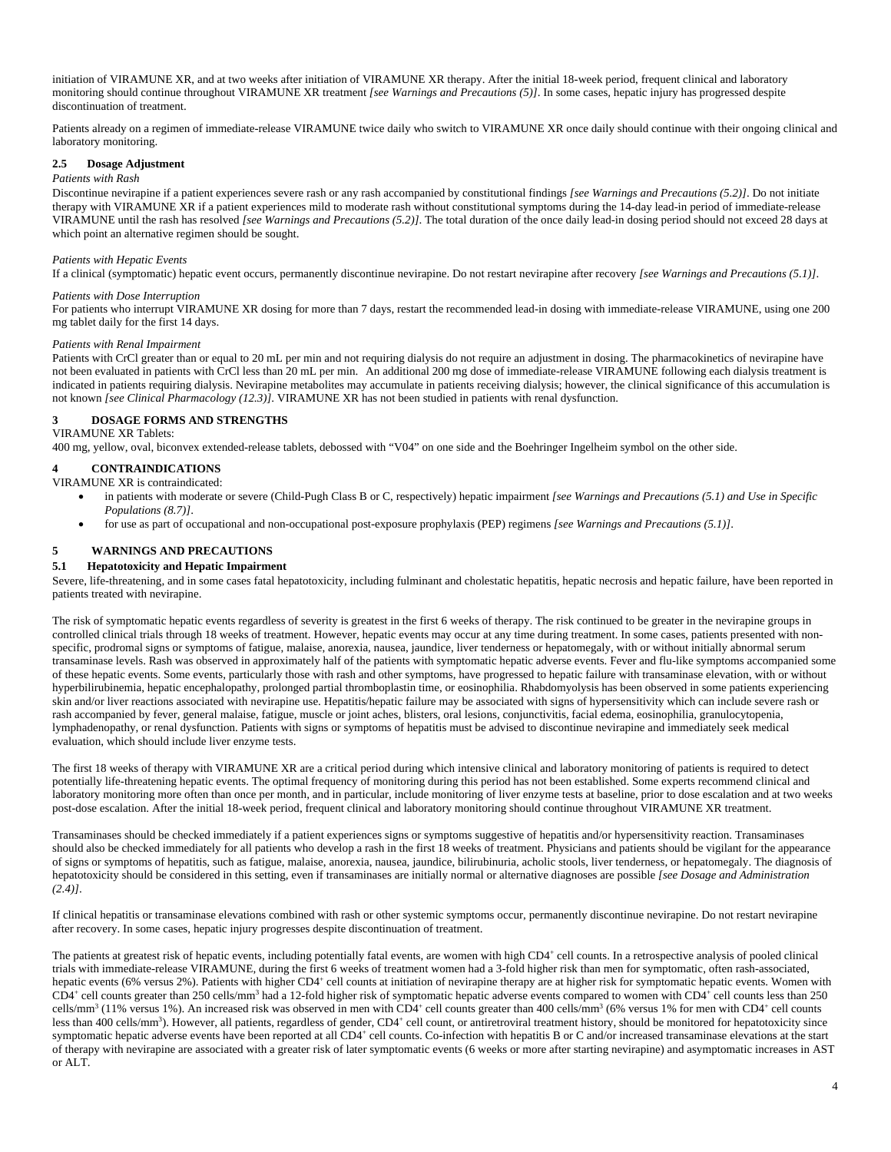initiation of VIRAMUNE XR, and at two weeks after initiation of VIRAMUNE XR therapy. After the initial 18-week period, frequent clinical and laboratory monitoring should continue throughout VIRAMUNE XR treatment *[see Warnings and Precautions (5)]*. In some cases, hepatic injury has progressed despite discontinuation of treatment.

Patients already on a regimen of immediate-release VIRAMUNE twice daily who switch to VIRAMUNE XR once daily should continue with their ongoing clinical and laboratory monitoring.

#### **2.5 Dosage Adjustment**

#### *Patients with Rash*

Discontinue nevirapine if a patient experiences severe rash or any rash accompanied by constitutional findings *[see Warnings and Precautions (5.2)]*. Do not initiate therapy with VIRAMUNE XR if a patient experiences mild to moderate rash without constitutional symptoms during the 14-day lead-in period of immediate-release VIRAMUNE until the rash has resolved *[see Warnings and Precautions (5.2)]*. The total duration of the once daily lead-in dosing period should not exceed 28 days at which point an alternative regimen should be sought.

#### *Patients with Hepatic Events*

If a clinical (symptomatic) hepatic event occurs, permanently discontinue nevirapine. Do not restart nevirapine after recovery *[see Warnings and Precautions (5.1)]*.

#### *Patients with Dose Interruption*

For patients who interrupt VIRAMUNE XR dosing for more than 7 days, restart the recommended lead-in dosing with immediate-release VIRAMUNE, using one 200 mg tablet daily for the first 14 days.

#### *Patients with Renal Impairment*

Patients with CrCl greater than or equal to 20 mL per min and not requiring dialysis do not require an adjustment in dosing. The pharmacokinetics of nevirapine have not been evaluated in patients with CrCl less than 20 mL per min. An additional 200 mg dose of immediate-release VIRAMUNE following each dialysis treatment is indicated in patients requiring dialysis. Nevirapine metabolites may accumulate in patients receiving dialysis; however, the clinical significance of this accumulation is not known *[see Clinical Pharmacology (12.3)]*. VIRAMUNE XR has not been studied in patients with renal dysfunction.

#### **3 DOSAGE FORMS AND STRENGTHS**  VIRAMUNE XR Tablets:

400 mg, yellow, oval, biconvex extended-release tablets, debossed with "V04" on one side and the Boehringer Ingelheim symbol on the other side.

### **4 CONTRAINDICATIONS**

VIRAMUNE XR is contraindicated:

- in patients with moderate or severe (Child-Pugh Class B or C, respectively) hepatic impairment *[see Warnings and Precautions (5.1) and Use in Specific Populations (8.7)]*.
- for use as part of occupational and non-occupational post-exposure prophylaxis (PEP) regimens *[see Warnings and Precautions (5.1)]*.

### **5 WARNINGS AND PRECAUTIONS**

### **5.1 Hepatotoxicity and Hepatic Impairment**

Severe, life-threatening, and in some cases fatal hepatotoxicity, including fulminant and cholestatic hepatitis, hepatic necrosis and hepatic failure, have been reported in patients treated with nevirapine.

The risk of symptomatic hepatic events regardless of severity is greatest in the first 6 weeks of therapy. The risk continued to be greater in the nevirapine groups in controlled clinical trials through 18 weeks of treatment. However, hepatic events may occur at any time during treatment. In some cases, patients presented with nonspecific, prodromal signs or symptoms of fatigue, malaise, anorexia, nausea, jaundice, liver tenderness or hepatomegaly, with or without initially abnormal serum transaminase levels. Rash was observed in approximately half of the patients with symptomatic hepatic adverse events. Fever and flu-like symptoms accompanied some of these hepatic events. Some events, particularly those with rash and other symptoms, have progressed to hepatic failure with transaminase elevation, with or without hyperbilirubinemia, hepatic encephalopathy, prolonged partial thromboplastin time, or eosinophilia. Rhabdomyolysis has been observed in some patients experiencing skin and/or liver reactions associated with nevirapine use. Hepatitis/hepatic failure may be associated with signs of hypersensitivity which can include severe rash or rash accompanied by fever, general malaise, fatigue, muscle or joint aches, blisters, oral lesions, conjunctivitis, facial edema, eosinophilia, granulocytopenia, lymphadenopathy, or renal dysfunction. Patients with signs or symptoms of hepatitis must be advised to discontinue nevirapine and immediately seek medical evaluation, which should include liver enzyme tests.

The first 18 weeks of therapy with VIRAMUNE XR are a critical period during which intensive clinical and laboratory monitoring of patients is required to detect potentially life-threatening hepatic events. The optimal frequency of monitoring during this period has not been established. Some experts recommend clinical and laboratory monitoring more often than once per month, and in particular, include monitoring of liver enzyme tests at baseline, prior to dose escalation and at two weeks post-dose escalation. After the initial 18-week period, frequent clinical and laboratory monitoring should continue throughout VIRAMUNE XR treatment.

Transaminases should be checked immediately if a patient experiences signs or symptoms suggestive of hepatitis and/or hypersensitivity reaction. Transaminases should also be checked immediately for all patients who develop a rash in the first 18 weeks of treatment. Physicians and patients should be vigilant for the appearance of signs or symptoms of hepatitis, such as fatigue, malaise, anorexia, nausea, jaundice, bilirubinuria, acholic stools, liver tenderness, or hepatomegaly. The diagnosis of hepatotoxicity should be considered in this setting, even if transaminases are initially normal or alternative diagnoses are possible *[see Dosage and Administration (2.4)]*.

If clinical hepatitis or transaminase elevations combined with rash or other systemic symptoms occur, permanently discontinue nevirapine. Do not restart nevirapine after recovery. In some cases, hepatic injury progresses despite discontinuation of treatment.

The patients at greatest risk of hepatic events, including potentially fatal events, are women with high CD4<sup>+</sup> cell counts. In a retrospective analysis of pooled clinical trials with immediate-release VIRAMUNE, during the first 6 weeks of treatment women had a 3-fold higher risk than men for symptomatic, often rash-associated, hepatic events (6% versus 2%). Patients with higher CD4<sup>+</sup> cell counts at initiation of nevirapine therapy are at higher risk for symptomatic hepatic events. Women with CD4<sup>+</sup> cell counts greater than 250 cells/mm<sup>3</sup> had a 12-fold higher risk of symptomatic hepatic adverse events compared to women with CD4<sup>+</sup> cell counts less than 250 cells/mm<sup>3</sup> (11% versus 1%). An increased risk was observed in men with CD4<sup>+</sup> cell counts greater than 400 cells/mm<sup>3</sup> (6% versus 1% for men with CD4<sup>+</sup> cell counts less than 400 cells/mm<sup>3</sup>). However, all patients, regardless of gender, CD4<sup>+</sup> cell count, or antiretroviral treatment history, should be monitored for hepatotoxicity since symptomatic hepatic adverse events have been reported at all CD4<sup>+</sup> cell counts. Co-infection with hepatitis B or C and/or increased transaminase elevations at the start of therapy with nevirapine are associated with a greater risk of later symptomatic events (6 weeks or more after starting nevirapine) and asymptomatic increases in AST or ALT.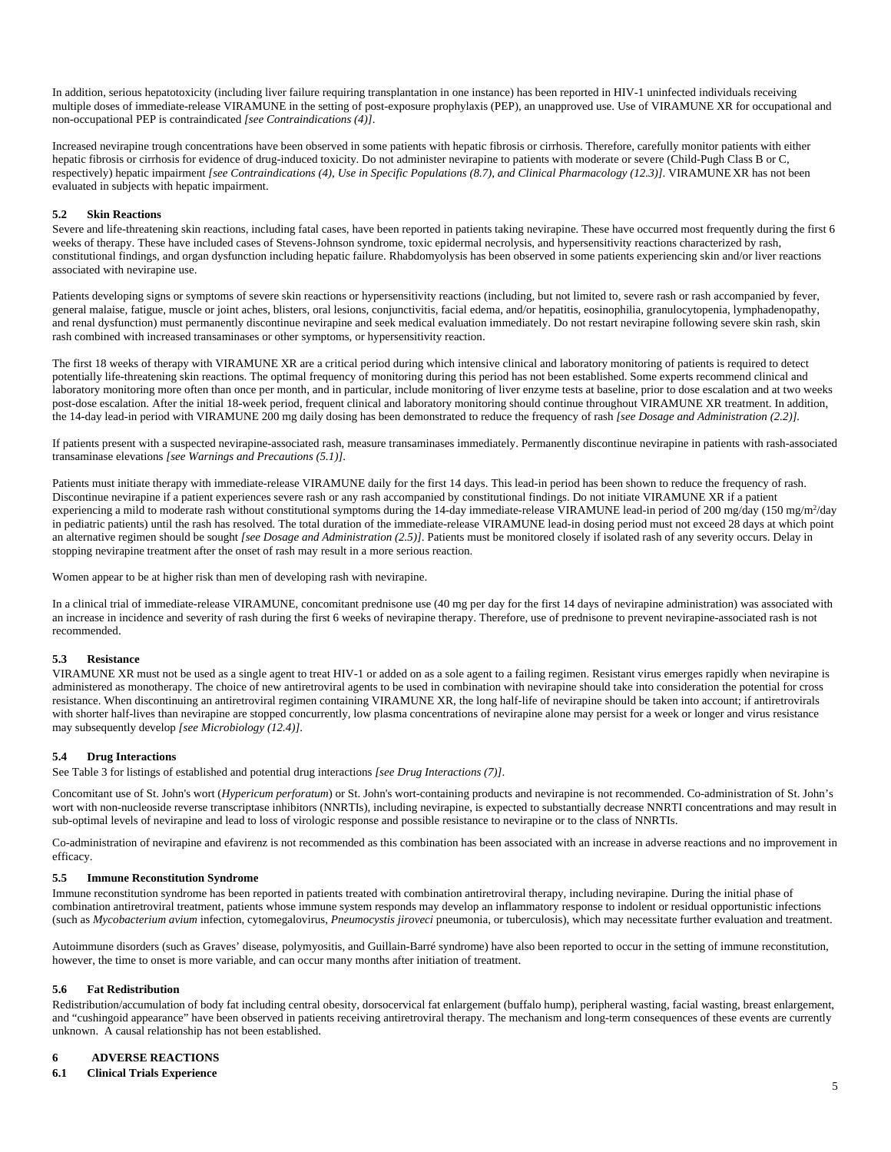In addition, serious hepatotoxicity (including liver failure requiring transplantation in one instance) has been reported in HIV-1 uninfected individuals receiving multiple doses of immediate-release VIRAMUNE in the setting of post-exposure prophylaxis (PEP), an unapproved use. Use of VIRAMUNE XR for occupational and non-occupational PEP is contraindicated *[see Contraindications (4)]*.

Increased nevirapine trough concentrations have been observed in some patients with hepatic fibrosis or cirrhosis. Therefore, carefully monitor patients with either hepatic fibrosis or cirrhosis for evidence of drug-induced toxicity. Do not administer nevirapine to patients with moderate or severe (Child-Pugh Class B or C, respectively) hepatic impairment *[see Contraindications (4), Use in Specific Populations (8.7), and Clinical Pharmacology (12.3)]*. VIRAMUNE XR has not been evaluated in subjects with hepatic impairment.

### **5.2 Skin Reactions**

Severe and life-threatening skin reactions, including fatal cases, have been reported in patients taking nevirapine. These have occurred most frequently during the first 6 weeks of therapy. These have included cases of Stevens-Johnson syndrome, toxic epidermal necrolysis, and hypersensitivity reactions characterized by rash, constitutional findings, and organ dysfunction including hepatic failure. Rhabdomyolysis has been observed in some patients experiencing skin and/or liver reactions associated with nevirapine use.

Patients developing signs or symptoms of severe skin reactions or hypersensitivity reactions (including, but not limited to, severe rash or rash accompanied by fever, general malaise, fatigue, muscle or joint aches, blisters, oral lesions, conjunctivitis, facial edema, and/or hepatitis, eosinophilia, granulocytopenia, lymphadenopathy, and renal dysfunction) must permanently discontinue nevirapine and seek medical evaluation immediately. Do not restart nevirapine following severe skin rash, skin rash combined with increased transaminases or other symptoms, or hypersensitivity reaction.

The first 18 weeks of therapy with VIRAMUNE XR are a critical period during which intensive clinical and laboratory monitoring of patients is required to detect potentially life-threatening skin reactions. The optimal frequency of monitoring during this period has not been established. Some experts recommend clinical and laboratory monitoring more often than once per month, and in particular, include monitoring of liver enzyme tests at baseline, prior to dose escalation and at two weeks post-dose escalation. After the initial 18-week period, frequent clinical and laboratory monitoring should continue throughout VIRAMUNE XR treatment. In addition, the 14-day lead-in period with VIRAMUNE 200 mg daily dosing has been demonstrated to reduce the frequency of rash *[see Dosage and Administration (2.2)].*

If patients present with a suspected nevirapine-associated rash, measure transaminases immediately. Permanently discontinue nevirapine in patients with rash-associated transaminase elevations *[see Warnings and Precautions (5.1)]*.

Patients must initiate therapy with immediate-release VIRAMUNE daily for the first 14 days. This lead-in period has been shown to reduce the frequency of rash. Discontinue nevirapine if a patient experiences severe rash or any rash accompanied by constitutional findings. Do not initiate VIRAMUNE XR if a patient experiencing a mild to moderate rash without constitutional symptoms during the 14-day immediate-release VIRAMUNE lead-in period of 200 mg/day (150 mg/m<sup>2</sup>/day in pediatric patients) until the rash has resolved*.* The total duration of the immediate-release VIRAMUNE lead-in dosing period must not exceed 28 days at which point an alternative regimen should be sought *[see Dosage and Administration (2.5)]*. Patients must be monitored closely if isolated rash of any severity occurs. Delay in stopping nevirapine treatment after the onset of rash may result in a more serious reaction.

Women appear to be at higher risk than men of developing rash with nevirapine.

In a clinical trial of immediate-release VIRAMUNE, concomitant prednisone use (40 mg per day for the first 14 days of nevirapine administration) was associated with an increase in incidence and severity of rash during the first 6 weeks of nevirapine therapy. Therefore, use of prednisone to prevent nevirapine-associated rash is not recommended.

#### **5.3 Resistance**

VIRAMUNE XR must not be used as a single agent to treat HIV-1 or added on as a sole agent to a failing regimen. Resistant virus emerges rapidly when nevirapine is administered as monotherapy. The choice of new antiretroviral agents to be used in combination with nevirapine should take into consideration the potential for cross resistance. When discontinuing an antiretroviral regimen containing VIRAMUNE XR, the long half-life of nevirapine should be taken into account; if antiretrovirals with shorter half-lives than nevirapine are stopped concurrently, low plasma concentrations of nevirapine alone may persist for a week or longer and virus resistance may subsequently develop *[see Microbiology (12.4)]*.

#### **5.4 Drug Interactions**

See Table 3 for listings of established and potential drug interactions *[see Drug Interactions (7)]*.

Concomitant use of St. John's wort (*Hypericum perforatum*) or St. John's wort-containing products and nevirapine is not recommended. Co-administration of St. John's wort with non-nucleoside reverse transcriptase inhibitors (NNRTIs), including nevirapine, is expected to substantially decrease NNRTI concentrations and may result in sub-optimal levels of nevirapine and lead to loss of virologic response and possible resistance to nevirapine or to the class of NNRTIs.

Co-administration of nevirapine and efavirenz is not recommended as this combination has been associated with an increase in adverse reactions and no improvement in efficacy.

#### **5.5 Immune Reconstitution Syndrome**

Immune reconstitution syndrome has been reported in patients treated with combination antiretroviral therapy, including nevirapine. During the initial phase of combination antiretroviral treatment, patients whose immune system responds may develop an inflammatory response to indolent or residual opportunistic infections (such as *Mycobacterium avium* infection, cytomegalovirus, *Pneumocystis jiroveci* pneumonia, or tuberculosis), which may necessitate further evaluation and treatment.

Autoimmune disorders (such as Graves' disease, polymyositis, and Guillain-Barré syndrome) have also been reported to occur in the setting of immune reconstitution, however, the time to onset is more variable, and can occur many months after initiation of treatment.

#### **5.6 Fat Redistribution**

Redistribution/accumulation of body fat including central obesity, dorsocervical fat enlargement (buffalo hump), peripheral wasting, facial wasting, breast enlargement, and "cushingoid appearance" have been observed in patients receiving antiretroviral therapy. The mechanism and long-term consequences of these events are currently unknown. A causal relationship has not been established.

#### **6 ADVERSE REACTIONS**

### **6.1 Clinical Trials Experience**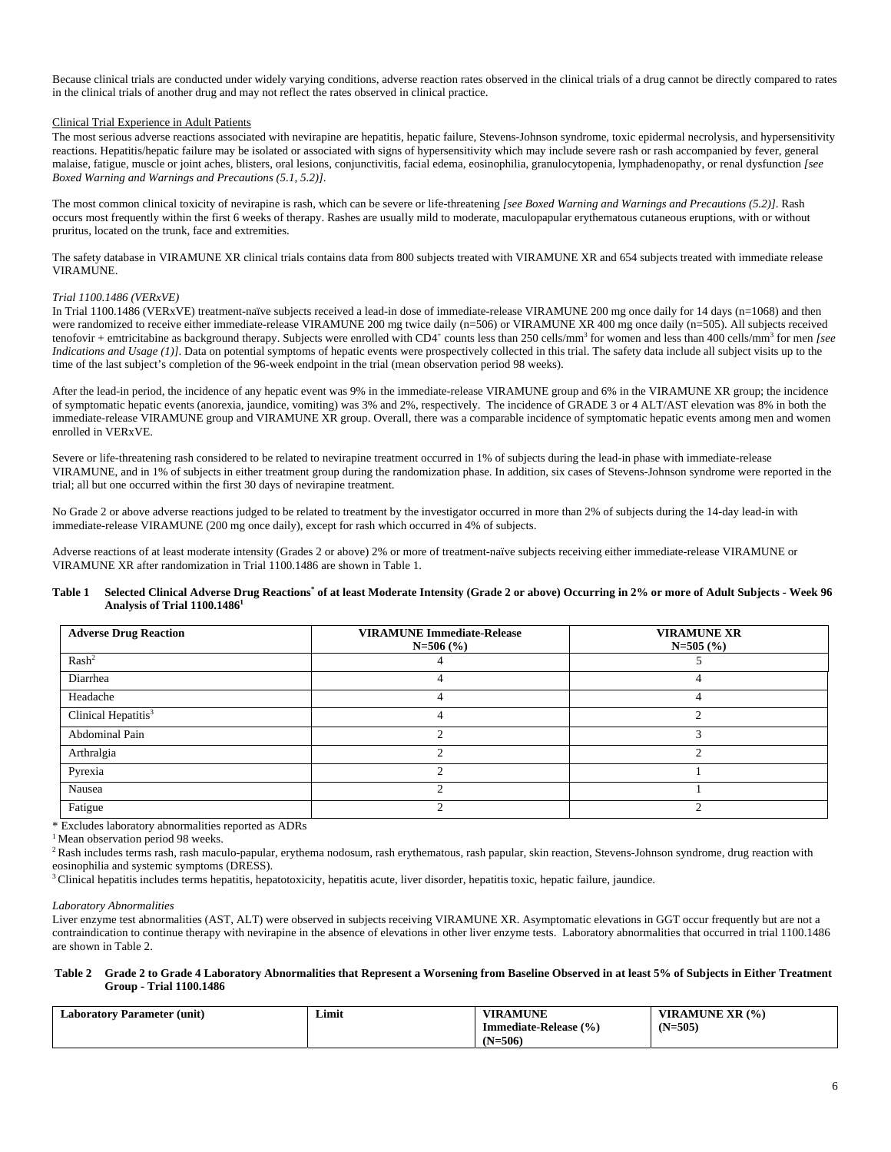Because clinical trials are conducted under widely varying conditions, adverse reaction rates observed in the clinical trials of a drug cannot be directly compared to rates in the clinical trials of another drug and may not reflect the rates observed in clinical practice.

#### Clinical Trial Experience in Adult Patients

The most serious adverse reactions associated with nevirapine are hepatitis, hepatic failure, Stevens-Johnson syndrome, toxic epidermal necrolysis, and hypersensitivity reactions. Hepatitis/hepatic failure may be isolated or associated with signs of hypersensitivity which may include severe rash or rash accompanied by fever, general malaise, fatigue, muscle or joint aches, blisters, oral lesions, conjunctivitis, facial edema, eosinophilia, granulocytopenia, lymphadenopathy, or renal dysfunction *[see Boxed Warning and Warnings and Precautions (5.1, 5.2)]*.

The most common clinical toxicity of nevirapine is rash, which can be severe or life-threatening *[see Boxed Warning and Warnings and Precautions (5.2)]*. Rash occurs most frequently within the first 6 weeks of therapy. Rashes are usually mild to moderate, maculopapular erythematous cutaneous eruptions, with or without pruritus, located on the trunk, face and extremities.

The safety database in VIRAMUNE XR clinical trials contains data from 800 subjects treated with VIRAMUNE XR and 654 subjects treated with immediate release VIRAMUNE.

#### *Trial 1100.1486 (VERxVE)*

In Trial 1100.1486 (VERxVE) treatment-naïve subjects received a lead-in dose of immediate-release VIRAMUNE 200 mg once daily for 14 days (n=1068) and then were randomized to receive either immediate-release VIRAMUNE 200 mg twice daily (n=506) or VIRAMUNE XR 400 mg once daily (n=505). All subjects received tenofovir + emtricitabine as background therapy. Subjects were enrolled with CD4<sup>+</sup> counts less than 250 cells/mm<sup>3</sup> for women and less than 400 cells/mm<sup>3</sup> for men *[see Indications and Usage (1)]*. Data on potential symptoms of hepatic events were prospectively collected in this trial. The safety data include all subject visits up to the time of the last subject's completion of the 96-week endpoint in the trial (mean observation period 98 weeks).

After the lead-in period, the incidence of any hepatic event was 9% in the immediate-release VIRAMUNE group and 6% in the VIRAMUNE XR group; the incidence of symptomatic hepatic events (anorexia, jaundice, vomiting) was 3% and 2%, respectively. The incidence of GRADE 3 or 4 ALT/AST elevation was 8% in both the immediate-release VIRAMUNE group and VIRAMUNE XR group. Overall, there was a comparable incidence of symptomatic hepatic events among men and women enrolled in VERxVE.

Severe or life-threatening rash considered to be related to nevirapine treatment occurred in 1% of subjects during the lead-in phase with immediate-release VIRAMUNE, and in 1% of subjects in either treatment group during the randomization phase. In addition, six cases of Stevens-Johnson syndrome were reported in the trial; all but one occurred within the first 30 days of nevirapine treatment.

No Grade 2 or above adverse reactions judged to be related to treatment by the investigator occurred in more than 2% of subjects during the 14-day lead-in with immediate-release VIRAMUNE (200 mg once daily), except for rash which occurred in 4% of subjects.

Adverse reactions of at least moderate intensity (Grades 2 or above) 2% or more of treatment-naïve subjects receiving either immediate-release VIRAMUNE or VIRAMUNE XR after randomization in Trial 1100.1486 are shown in Table 1.

#### Table 1 Selected Clinical Adverse Drug Reactions<sup>\*</sup> of at least Moderate Intensity (Grade 2 or above) Occurring in 2% or more of Adult Subjects - Week 96 **Analysis of Trial 1100.14861**

| <b>Adverse Drug Reaction</b>    | <b>VIRAMUNE Immediate-Release</b><br>$N=506$ (%) | <b>VIRAMUNE XR</b><br>$N=505(%)$ |
|---------------------------------|--------------------------------------------------|----------------------------------|
| Rash <sup>2</sup>               |                                                  |                                  |
| Diarrhea                        |                                                  |                                  |
| Headache                        | 4                                                |                                  |
| Clinical Hepatitis <sup>3</sup> |                                                  |                                  |
| Abdominal Pain                  |                                                  |                                  |
| Arthralgia                      |                                                  |                                  |
| Pyrexia                         |                                                  |                                  |
| Nausea                          |                                                  |                                  |
| Fatigue                         |                                                  |                                  |

\* Excludes laboratory abnormalities reported as ADRs

<sup>1</sup> Mean observation period 98 weeks.

<sup>2</sup> Rash includes terms rash, rash maculo-papular, erythema nodosum, rash erythematous, rash papular, skin reaction, Stevens-Johnson syndrome, drug reaction with eosinophilia and systemic symptoms (DRESS).

<sup>3</sup> Clinical hepatitis includes terms hepatitis, hepatotoxicity, hepatitis acute, liver disorder, hepatitis toxic, hepatic failure, jaundice.

#### *Laboratory Abnormalities*

Liver enzyme test abnormalities (AST, ALT) were observed in subjects receiving VIRAMUNE XR. Asymptomatic elevations in GGT occur frequently but are not a contraindication to continue therapy with nevirapine in the absence of elevations in other liver enzyme tests. Laboratory abnormalities that occurred in trial 1100.1486 are shown in Table 2.

#### **Table 2 Grade 2 to Grade 4 Laboratory Abnormalities that Represent a Worsening from Baseline Observed in at least 5% of Subjects in Either Treatment Group - Trial 1100.1486**

| Laboratory Parameter (unit) | Limit | /IRAMUNE                  | VIRAMUNE XR (%) |
|-----------------------------|-------|---------------------------|-----------------|
|                             |       | Immediate-Release $(\% )$ | $(N=505)$       |
|                             |       | N=506).                   |                 |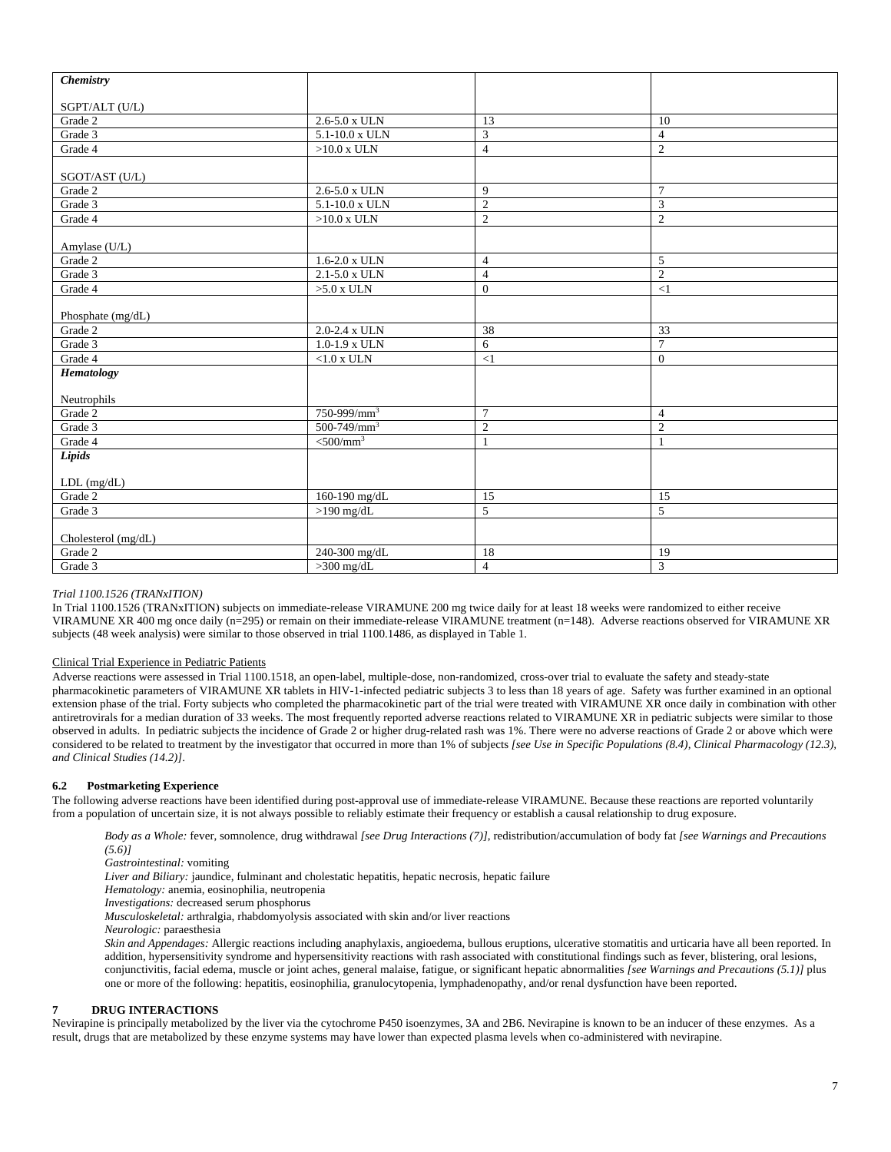| <b>Chemistry</b>    |                         |                |                 |
|---------------------|-------------------------|----------------|-----------------|
| SGPT/ALT (U/L)      |                         |                |                 |
| Grade 2             | 2.6-5.0 x ULN           | 13             | 10              |
| Grade 3             | $5.1 - 10.0$ x ULN      | $\overline{3}$ | $\overline{4}$  |
| Grade 4             | $>10.0$ x ULN           | $\overline{4}$ | $\mathbf{2}$    |
| SGOT/AST (U/L)      |                         |                |                 |
| Grade 2             | 2.6-5.0 x ULN           | 9              | $\tau$          |
| Grade 3             | 5.1-10.0 x ULN          | $\overline{2}$ | 3               |
| Grade 4             | $>10.0$ x ULN           | $\sqrt{2}$     | $\overline{c}$  |
| Amylase (U/L)       |                         |                |                 |
| Grade 2             | $1.6 - 2.0$ x ULN       | $\overline{4}$ | 5               |
| Grade 3             | 2.1-5.0 x ULN           | $\overline{4}$ | $\sqrt{2}$      |
| Grade 4             | $>5.0$ x ULN            | $\mathbf{0}$   | $\leq$ 1        |
| Phosphate (mg/dL)   |                         |                |                 |
| Grade 2             | 2.0-2.4 x ULN           | 38             | 33              |
| Grade 3             | $1.0 - 1.9$ x ULN       | 6              | $7\phantom{.0}$ |
| Grade 4             | ${<}1.0$ x ULN          | $\leq$ 1       | $\mathbf{0}$    |
| Hematology          |                         |                |                 |
| Neutrophils         |                         |                |                 |
| Grade 2             | $750 - 999/mm^3$        | $\overline{7}$ | $\overline{4}$  |
| Grade 3             | $500-749/mm^3$          | $\overline{2}$ | $\overline{2}$  |
| Grade 4             | $<$ 500/mm <sup>3</sup> | $\mathbf{1}$   | $\mathbf{1}$    |
| Lipids              |                         |                |                 |
| $LDL$ (mg/dL)       |                         |                |                 |
| Grade 2             | 160-190 mg/dL           | 15             | 15              |
| Grade 3             | $>190$ mg/dL            | 5              | $\sqrt{5}$      |
| Cholesterol (mg/dL) |                         |                |                 |
| Grade 2             | 240-300 mg/dL           | 18             | 19              |
| Grade 3             | $>300$ mg/dL            | $\overline{4}$ | $\mathfrak{Z}$  |

## *Trial 1100.1526 (TRANxITION)*

In Trial 1100.1526 (TRANxITION) subjects on immediate-release VIRAMUNE 200 mg twice daily for at least 18 weeks were randomized to either receive VIRAMUNE XR 400 mg once daily (n=295) or remain on their immediate-release VIRAMUNE treatment (n=148). Adverse reactions observed for VIRAMUNE XR subjects (48 week analysis) were similar to those observed in trial 1100.1486, as displayed in Table 1.

### Clinical Trial Experience in Pediatric Patients

Adverse reactions were assessed in Trial 1100.1518, an open-label, multiple-dose, non-randomized, cross-over trial to evaluate the safety and steady-state pharmacokinetic parameters of VIRAMUNE XR tablets in HIV-1-infected pediatric subjects 3 to less than 18 years of age. Safety was further examined in an optional extension phase of the trial. Forty subjects who completed the pharmacokinetic part of the trial were treated with VIRAMUNE XR once daily in combination with other antiretrovirals for a median duration of 33 weeks. The most frequently reported adverse reactions related to VIRAMUNE XR in pediatric subjects were similar to those observed in adults. In pediatric subjects the incidence of Grade 2 or higher drug-related rash was 1%. There were no adverse reactions of Grade 2 or above which were considered to be related to treatment by the investigator that occurred in more than 1% of subjects *[see Use in Specific Populations (8.4), Clinical Pharmacology (12.3), and Clinical Studies (14.2)]*.

### **6.2 Postmarketing Experience**

The following adverse reactions have been identified during post-approval use of immediate-release VIRAMUNE. Because these reactions are reported voluntarily from a population of uncertain size, it is not always possible to reliably estimate their frequency or establish a causal relationship to drug exposure.

*Body as a Whole:* fever, somnolence, drug withdrawal *[see Drug Interactions (7)]*, redistribution/accumulation of body fat *[see Warnings and Precautions (5.6)]*

*Gastrointestinal:* vomiting

*Liver and Biliary:* jaundice, fulminant and cholestatic hepatitis, hepatic necrosis, hepatic failure

*Hematology:* anemia, eosinophilia, neutropenia

*Investigations:* decreased serum phosphorus

*Musculoskeletal:* arthralgia, rhabdomyolysis associated with skin and/or liver reactions

*Neurologic:* paraesthesia

*Skin and Appendages:* Allergic reactions including anaphylaxis, angioedema, bullous eruptions, ulcerative stomatitis and urticaria have all been reported. In addition, hypersensitivity syndrome and hypersensitivity reactions with rash associated with constitutional findings such as fever, blistering, oral lesions, conjunctivitis, facial edema, muscle or joint aches, general malaise, fatigue, or significant hepatic abnormalities *[see Warnings and Precautions (5.1)]* plus one or more of the following: hepatitis, eosinophilia, granulocytopenia, lymphadenopathy, and/or renal dysfunction have been reported.

#### **7 DRUG INTERACTIONS**

Nevirapine is principally metabolized by the liver via the cytochrome P450 isoenzymes, 3A and 2B6. Nevirapine is known to be an inducer of these enzymes. As a result, drugs that are metabolized by these enzyme systems may have lower than expected plasma levels when co-administered with nevirapine.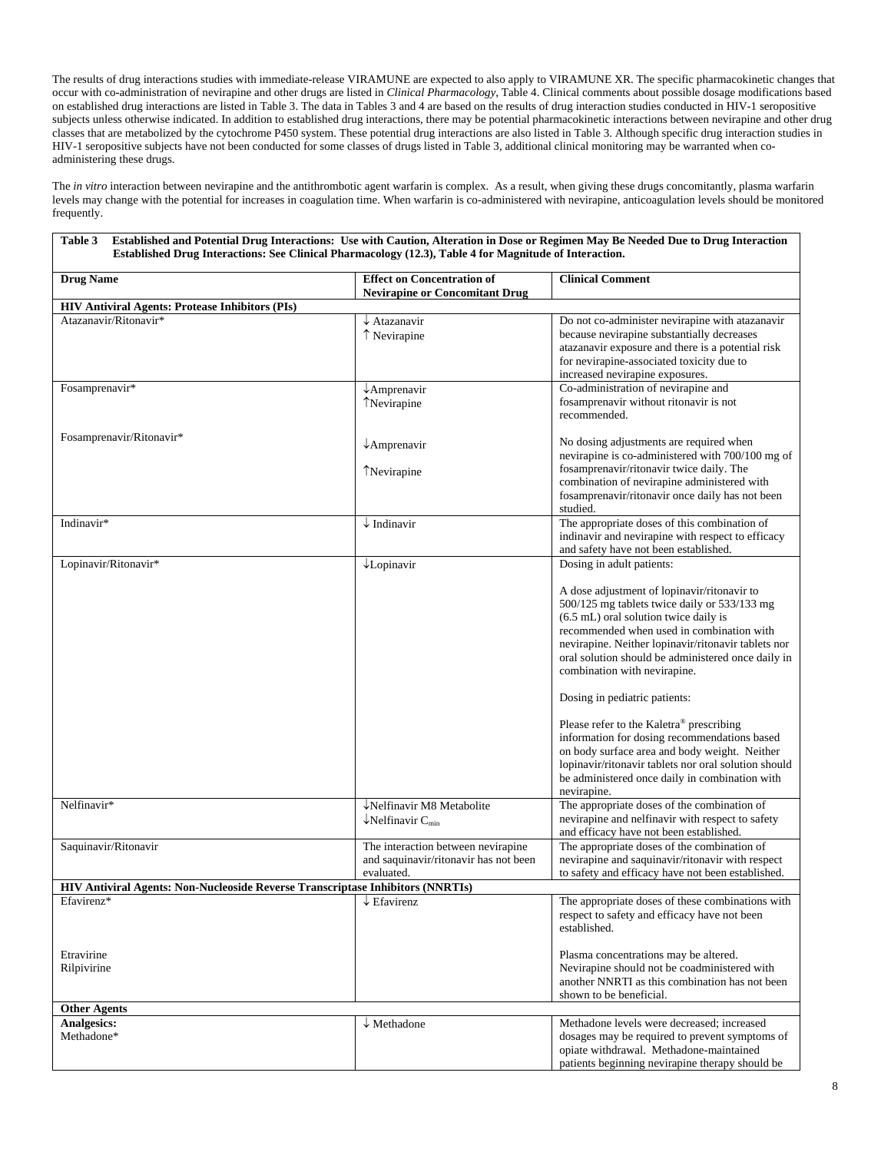The results of drug interactions studies with immediate-release VIRAMUNE are expected to also apply to VIRAMUNE XR. The specific pharmacokinetic changes that occur with co-administration of nevirapine and other drugs are listed in *Clinical Pharmacology*, Table 4. Clinical comments about possible dosage modifications based on established drug interactions are listed in Table 3. The data in Tables 3 and 4 are based on the results of drug interaction studies conducted in HIV-1 seropositive subjects unless otherwise indicated. In addition to established drug interactions, there may be potential pharmacokinetic interactions between nevirapine and other drug classes that are metabolized by the cytochrome P450 system. These potential drug interactions are also listed in Table 3. Although specific drug interaction studies in HIV-1 seropositive subjects have not been conducted for some classes of drugs listed in Table 3, additional clinical monitoring may be warranted when coadministering these drugs.

The *in vitro* interaction between nevirapine and the antithrombotic agent warfarin is complex. As a result, when giving these drugs concomitantly, plasma warfarin levels may change with the potential for increases in coagulation time. When warfarin is co-administered with nevirapine, anticoagulation levels should be monitored frequently.

| <b>Drug Name</b>                                                               | <b>Effect on Concentration of</b><br><b>Nevirapine or Concomitant Drug</b> | <b>Clinical Comment</b>                                                                         |
|--------------------------------------------------------------------------------|----------------------------------------------------------------------------|-------------------------------------------------------------------------------------------------|
| <b>HIV Antiviral Agents: Protease Inhibitors (PIs)</b>                         |                                                                            |                                                                                                 |
| Atazanavir/Ritonavir*                                                          | $\downarrow$ Atazanavir                                                    | Do not co-administer nevirapine with atazanavir                                                 |
|                                                                                | ↑ Nevirapine                                                               | because nevirapine substantially decreases                                                      |
|                                                                                |                                                                            | atazanavir exposure and there is a potential risk                                               |
|                                                                                |                                                                            | for nevirapine-associated toxicity due to                                                       |
|                                                                                |                                                                            | increased nevirapine exposures.                                                                 |
| Fosamprenavir*                                                                 | $\downarrow$ Amprenavir                                                    | Co-administration of nevirapine and                                                             |
|                                                                                | TNevirapine                                                                | fosamprenavir without ritonavir is not                                                          |
|                                                                                |                                                                            | recommended.                                                                                    |
| Fosamprenavir/Ritonavir*                                                       |                                                                            |                                                                                                 |
|                                                                                | $\downarrow$ Amprenavir                                                    | No dosing adjustments are required when                                                         |
|                                                                                |                                                                            | nevirapine is co-administered with 700/100 mg of<br>fosamprenavir/ritonavir twice daily. The    |
|                                                                                | TNevirapine                                                                | combination of nevirapine administered with                                                     |
|                                                                                |                                                                            | fosamprenavir/ritonavir once daily has not been                                                 |
|                                                                                |                                                                            | studied.                                                                                        |
| Indinavir*                                                                     | $\downarrow$ Indinavir                                                     | The appropriate doses of this combination of                                                    |
|                                                                                |                                                                            | indinavir and nevirapine with respect to efficacy                                               |
|                                                                                |                                                                            | and safety have not been established.                                                           |
| Lopinavir/Ritonavir*                                                           | $\downarrow$ Lopinavir                                                     | Dosing in adult patients:                                                                       |
|                                                                                |                                                                            |                                                                                                 |
|                                                                                |                                                                            | A dose adjustment of lopinavir/ritonavir to                                                     |
|                                                                                |                                                                            | 500/125 mg tablets twice daily or 533/133 mg<br>(6.5 mL) oral solution twice daily is           |
|                                                                                |                                                                            | recommended when used in combination with                                                       |
|                                                                                |                                                                            | nevirapine. Neither lopinavir/ritonavir tablets nor                                             |
|                                                                                |                                                                            | oral solution should be administered once daily in                                              |
|                                                                                |                                                                            | combination with nevirapine.                                                                    |
|                                                                                |                                                                            | Dosing in pediatric patients:                                                                   |
|                                                                                |                                                                            | Please refer to the Kaletra® prescribing                                                        |
|                                                                                |                                                                            | information for dosing recommendations based                                                    |
|                                                                                |                                                                            | on body surface area and body weight. Neither                                                   |
|                                                                                |                                                                            | lopinavir/ritonavir tablets nor oral solution should                                            |
|                                                                                |                                                                            | be administered once daily in combination with                                                  |
|                                                                                |                                                                            | nevirapine.                                                                                     |
| Nelfinavir*                                                                    | $\overline{\downarrow}$ Nelfinavir M8 Metabolite                           | The appropriate doses of the combination of<br>nevirapine and nelfinavir with respect to safety |
|                                                                                | $\downarrow$ Nelfinavir C <sub>min</sub>                                   | and efficacy have not been established.                                                         |
| Saquinavir/Ritonavir                                                           | The interaction between nevirapine                                         | The appropriate doses of the combination of                                                     |
|                                                                                | and saquinavir/ritonavir has not been                                      | nevirapine and saquinavir/ritonavir with respect                                                |
|                                                                                | evaluated.                                                                 | to safety and efficacy have not been established.                                               |
| HIV Antiviral Agents: Non-Nucleoside Reverse Transcriptase Inhibitors (NNRTIs) |                                                                            |                                                                                                 |
| Efavirenz*                                                                     | $\downarrow$ Efavirenz                                                     | The appropriate doses of these combinations with                                                |
|                                                                                |                                                                            | respect to safety and efficacy have not been<br>established.                                    |
| Etravirine                                                                     |                                                                            | Plasma concentrations may be altered.                                                           |
| Rilpivirine                                                                    |                                                                            | Nevirapine should not be coadministered with                                                    |
|                                                                                |                                                                            | another NNRTI as this combination has not been                                                  |
|                                                                                |                                                                            | shown to be beneficial.                                                                         |
| <b>Other Agents</b>                                                            |                                                                            |                                                                                                 |
| <b>Analgesics:</b>                                                             | $\downarrow$ Methadone                                                     | Methadone levels were decreased; increased                                                      |
| Methadone*                                                                     |                                                                            | dosages may be required to prevent symptoms of                                                  |
|                                                                                |                                                                            | opiate withdrawal. Methadone-maintained                                                         |
|                                                                                |                                                                            | patients beginning nevirapine therapy should be                                                 |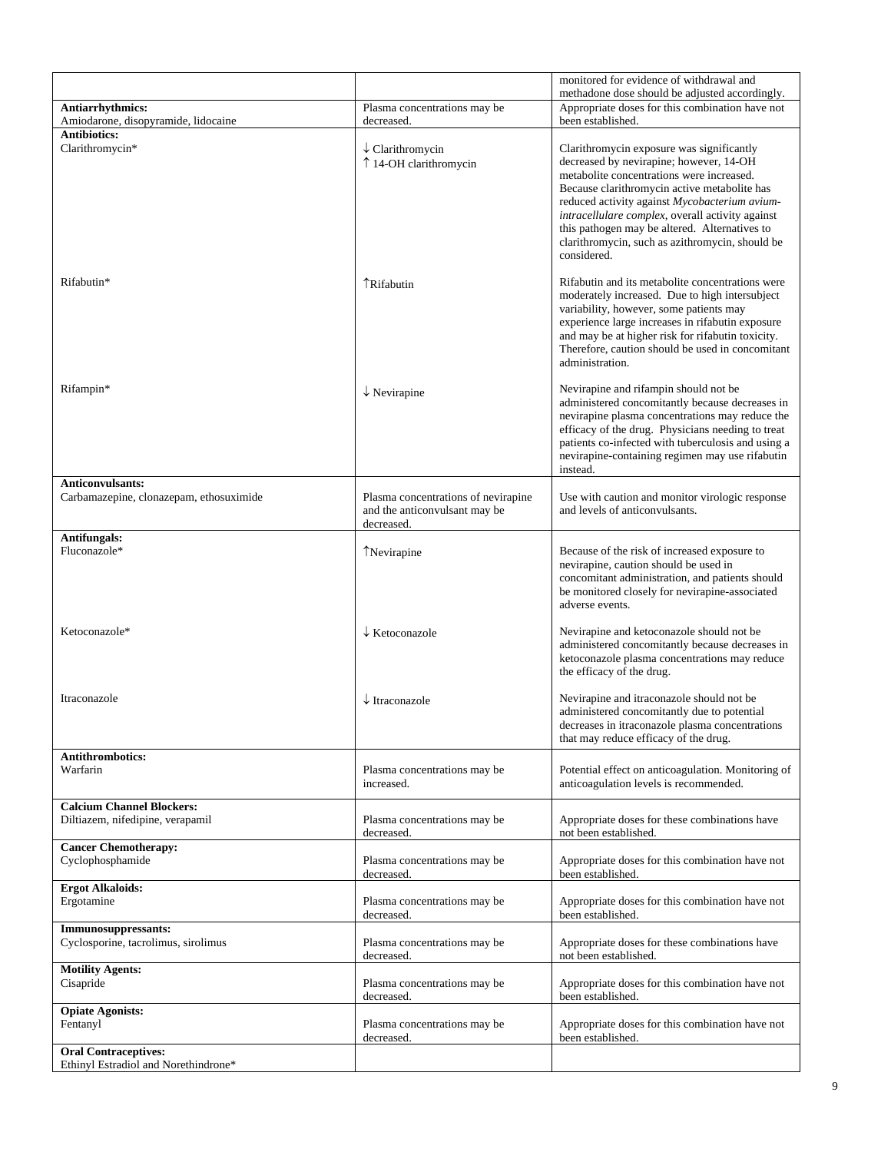|                                                                      |                                                                                    | monitored for evidence of withdrawal and                                                                                                                                                                                                                                                                                                                                                                  |
|----------------------------------------------------------------------|------------------------------------------------------------------------------------|-----------------------------------------------------------------------------------------------------------------------------------------------------------------------------------------------------------------------------------------------------------------------------------------------------------------------------------------------------------------------------------------------------------|
| Antiarrhythmics:                                                     | Plasma concentrations may be                                                       | methadone dose should be adjusted accordingly.<br>Appropriate doses for this combination have not                                                                                                                                                                                                                                                                                                         |
| Amiodarone, disopyramide, lidocaine                                  | decreased.                                                                         | been established.                                                                                                                                                                                                                                                                                                                                                                                         |
| <b>Antibiotics:</b>                                                  |                                                                                    |                                                                                                                                                                                                                                                                                                                                                                                                           |
| Clarithromycin*                                                      | $\downarrow$ Clarithromycin<br>↑ 14-OH clarithromycin                              | Clarithromycin exposure was significantly<br>decreased by nevirapine; however, 14-OH<br>metabolite concentrations were increased.<br>Because clarithromycin active metabolite has<br>reduced activity against Mycobacterium avium-<br>intracellulare complex, overall activity against<br>this pathogen may be altered. Alternatives to<br>clarithromycin, such as azithromycin, should be<br>considered. |
| Rifabutin*                                                           | <b>TRifabutin</b>                                                                  | Rifabutin and its metabolite concentrations were<br>moderately increased. Due to high intersubject<br>variability, however, some patients may<br>experience large increases in rifabutin exposure<br>and may be at higher risk for rifabutin toxicity.<br>Therefore, caution should be used in concomitant<br>administration.                                                                             |
| Rifampin*                                                            | $\downarrow$ Nevirapine                                                            | Nevirapine and rifampin should not be<br>administered concomitantly because decreases in<br>nevirapine plasma concentrations may reduce the<br>efficacy of the drug. Physicians needing to treat<br>patients co-infected with tuberculosis and using a<br>nevirapine-containing regimen may use rifabutin<br>instead.                                                                                     |
| <b>Anticonvulsants:</b>                                              |                                                                                    |                                                                                                                                                                                                                                                                                                                                                                                                           |
| Carbamazepine, clonazepam, ethosuximide                              | Plasma concentrations of nevirapine<br>and the anticonvulsant may be<br>decreased. | Use with caution and monitor virologic response<br>and levels of anticonvulsants.                                                                                                                                                                                                                                                                                                                         |
| <b>Antifungals:</b>                                                  |                                                                                    |                                                                                                                                                                                                                                                                                                                                                                                                           |
| Fluconazole*                                                         | TNevirapine                                                                        | Because of the risk of increased exposure to<br>nevirapine, caution should be used in<br>concomitant administration, and patients should<br>be monitored closely for nevirapine-associated<br>adverse events.                                                                                                                                                                                             |
| Ketoconazole*                                                        | $\downarrow$ Ketoconazole                                                          | Nevirapine and ketoconazole should not be<br>administered concomitantly because decreases in<br>ketoconazole plasma concentrations may reduce<br>the efficacy of the drug.                                                                                                                                                                                                                                |
| Itraconazole                                                         | $\downarrow$ Itraconazole                                                          | Nevirapine and itraconazole should not be<br>administered concomitantly due to potential<br>decreases in itraconazole plasma concentrations<br>that may reduce efficacy of the drug.                                                                                                                                                                                                                      |
| <b>Antithrombotics:</b><br>Warfarin                                  | Plasma concentrations may be<br>increased.                                         | Potential effect on anticoagulation. Monitoring of<br>anticoagulation levels is recommended.                                                                                                                                                                                                                                                                                                              |
| <b>Calcium Channel Blockers:</b><br>Diltiazem, nifedipine, verapamil | Plasma concentrations may be<br>decreased.                                         | Appropriate doses for these combinations have<br>not been established.                                                                                                                                                                                                                                                                                                                                    |
| <b>Cancer Chemotherapy:</b><br>Cyclophosphamide                      | Plasma concentrations may be<br>decreased.                                         | Appropriate doses for this combination have not<br>been established.                                                                                                                                                                                                                                                                                                                                      |
| <b>Ergot Alkaloids:</b><br>Ergotamine                                | Plasma concentrations may be<br>decreased.                                         | Appropriate doses for this combination have not<br>been established.                                                                                                                                                                                                                                                                                                                                      |
| Immunosuppressants:<br>Cyclosporine, tacrolimus, sirolimus           | Plasma concentrations may be<br>decreased.                                         | Appropriate doses for these combinations have<br>not been established.                                                                                                                                                                                                                                                                                                                                    |
| <b>Motility Agents:</b><br>Cisapride                                 | Plasma concentrations may be<br>decreased.                                         | Appropriate doses for this combination have not<br>been established.                                                                                                                                                                                                                                                                                                                                      |
| <b>Opiate Agonists:</b>                                              |                                                                                    |                                                                                                                                                                                                                                                                                                                                                                                                           |
| Fentanyl                                                             | Plasma concentrations may be<br>decreased.                                         | Appropriate doses for this combination have not<br>been established.                                                                                                                                                                                                                                                                                                                                      |
| <b>Oral Contraceptives:</b><br>Ethinyl Estradiol and Norethindrone*  |                                                                                    |                                                                                                                                                                                                                                                                                                                                                                                                           |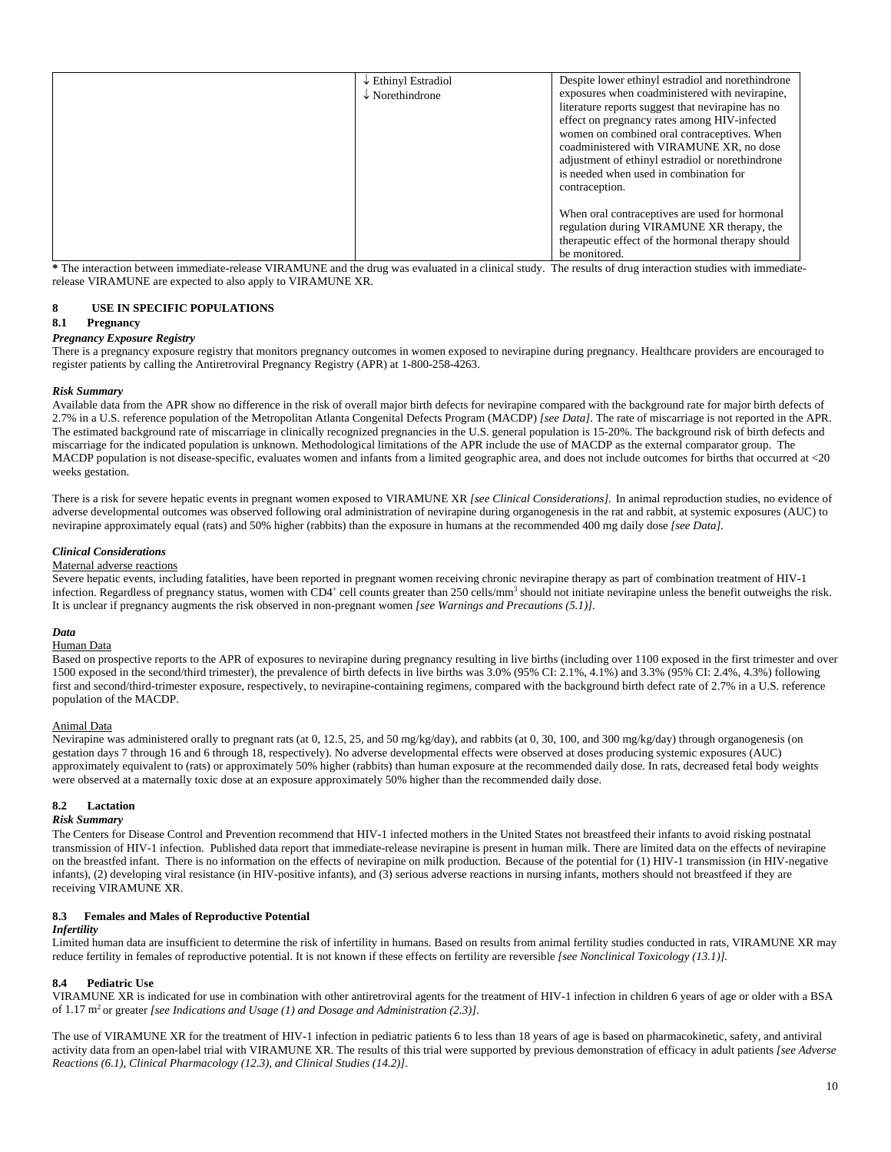| $\downarrow$ Ethinyl Estradiol | Despite lower ethinyl estradiol and norethindrone |
|--------------------------------|---------------------------------------------------|
| $\downarrow$ Norethindrone     | exposures when coadministered with nevirapine,    |
|                                | literature reports suggest that nevirapine has no |
|                                | effect on pregnancy rates among HIV-infected      |
|                                | women on combined oral contraceptives. When       |
|                                | coadministered with VIRAMUNE XR, no dose          |
|                                | adjustment of ethinyl estradiol or norethindrone  |
|                                | is needed when used in combination for            |
|                                | contraception.                                    |
|                                |                                                   |
|                                | When oral contraceptives are used for hormonal    |
|                                | regulation during VIRAMUNE XR therapy, the        |
|                                | therapeutic effect of the hormonal therapy should |
|                                | be monitored.                                     |

**\*** The interaction between immediate-release VIRAMUNE and the drug was evaluated in a clinical study. The results of drug interaction studies with immediaterelease VIRAMUNE are expected to also apply to VIRAMUNE XR.

### **8 USE IN SPECIFIC POPULATIONS**

#### **8.1 Pregnancy**

#### *Pregnancy Exposure Registry*

There is a pregnancy exposure registry that monitors pregnancy outcomes in women exposed to nevirapine during pregnancy. Healthcare providers are encouraged to register patients by calling the Antiretroviral Pregnancy Registry (APR) at 1-800-258-4263.

#### *Risk Summary*

Available data from the APR show no difference in the risk of overall major birth defects for nevirapine compared with the background rate for major birth defects of 2.7% in a U.S. reference population of the Metropolitan Atlanta Congenital Defects Program (MACDP) *[see Data]*. The rate of miscarriage is not reported in the APR. The estimated background rate of miscarriage in clinically recognized pregnancies in the U.S. general population is 15-20%. The background risk of birth defects and miscarriage for the indicated population is unknown. Methodological limitations of the APR include the use of MACDP as the external comparator group. The MACDP population is not disease-specific, evaluates women and infants from a limited geographic area, and does not include outcomes for births that occurred at <20 weeks gestation.

There is a risk for severe hepatic events in pregnant women exposed to VIRAMUNE XR [see Clinical Considerations]. In animal reproduction studies, no evidence of adverse developmental outcomes was observed following oral administration of nevirapine during organogenesis in the rat and rabbit, at systemic exposures (AUC) to nevirapine approximately equal (rats) and 50% higher (rabbits) than the exposure in humans at the recommended 400 mg daily dose *[see Data].* 

#### *Clinical Considerations*

#### Maternal adverse reactions

Severe hepatic events, including fatalities, have been reported in pregnant women receiving chronic nevirapine therapy as part of combination treatment of HIV-1 infection. Regardless of pregnancy status, women with CD4<sup>+</sup> cell counts greater than 250 cells/mm<sup>3</sup> should not initiate nevirapine unless the benefit outweighs the risk. It is unclear if pregnancy augments the risk observed in non-pregnant women *[see Warnings and Precautions (5.1)]*.

### *Data*

## Human Data

Based on prospective reports to the APR of exposures to nevirapine during pregnancy resulting in live births (including over 1100 exposed in the first trimester and over 1500 exposed in the second/third trimester), the prevalence of birth defects in live births was 3.0% (95% CI: 2.1%, 4.1%) and 3.3% (95% CI: 2.4%, 4.3%) following first and second/third-trimester exposure, respectively, to nevirapine-containing regimens, compared with the background birth defect rate of 2.7% in a U.S. reference population of the MACDP.

### Animal Data

Nevirapine was administered orally to pregnant rats (at 0, 12.5, 25, and 50 mg/kg/day), and rabbits (at 0, 30, 100, and 300 mg/kg/day) through organogenesis (on gestation days 7 through 16 and 6 through 18, respectively). No adverse developmental effects were observed at doses producing systemic exposures (AUC) approximately equivalent to (rats) or approximately 50% higher (rabbits) than human exposure at the recommended daily dose. In rats, decreased fetal body weights were observed at a maternally toxic dose at an exposure approximately 50% higher than the recommended daily dose.

#### **8.2 Lactation**

#### *Risk Summary*

The Centers for Disease Control and Prevention recommend that HIV-1 infected mothers in the United States not breastfeed their infants to avoid risking postnatal transmission of HIV-1 infection. Published data report that immediate-release nevirapine is present in human milk. There are limited data on the effects of nevirapine on the breastfed infant. There is no information on the effects of nevirapine on milk production. Because of the potential for (1) HIV-1 transmission (in HIV-negative infants), (2) developing viral resistance (in HIV-positive infants), and (3) serious adverse reactions in nursing infants, mothers should not breastfeed if they are receiving VIRAMUNE XR.

#### **8.3 Females and Males of Reproductive Potential**

#### *Infertility*

Limited human data are insufficient to determine the risk of infertility in humans. Based on results from animal fertility studies conducted in rats, VIRAMUNE XR may reduce fertility in females of reproductive potential. It is not known if these effects on fertility are reversible *[see Nonclinical Toxicology (13.1)].*

#### **8.4 Pediatric Use**

VIRAMUNE XR is indicated for use in combination with other antiretroviral agents for the treatment of HIV-1 infection in children 6 years of age or older with a BSA of 1.17 m2 or greater *[see Indications and Usage (1) and Dosage and Administration (2.3)]*.

The use of VIRAMUNE XR for the treatment of HIV-1 infection in pediatric patients 6 to less than 18 years of age is based on pharmacokinetic, safety, and antiviral activity data from an open-label trial with VIRAMUNE XR. The results of this trial were supported by previous demonstration of efficacy in adult patients *[see Adverse Reactions (6.1), Clinical Pharmacology (12.3), and Clinical Studies (14.2)]*.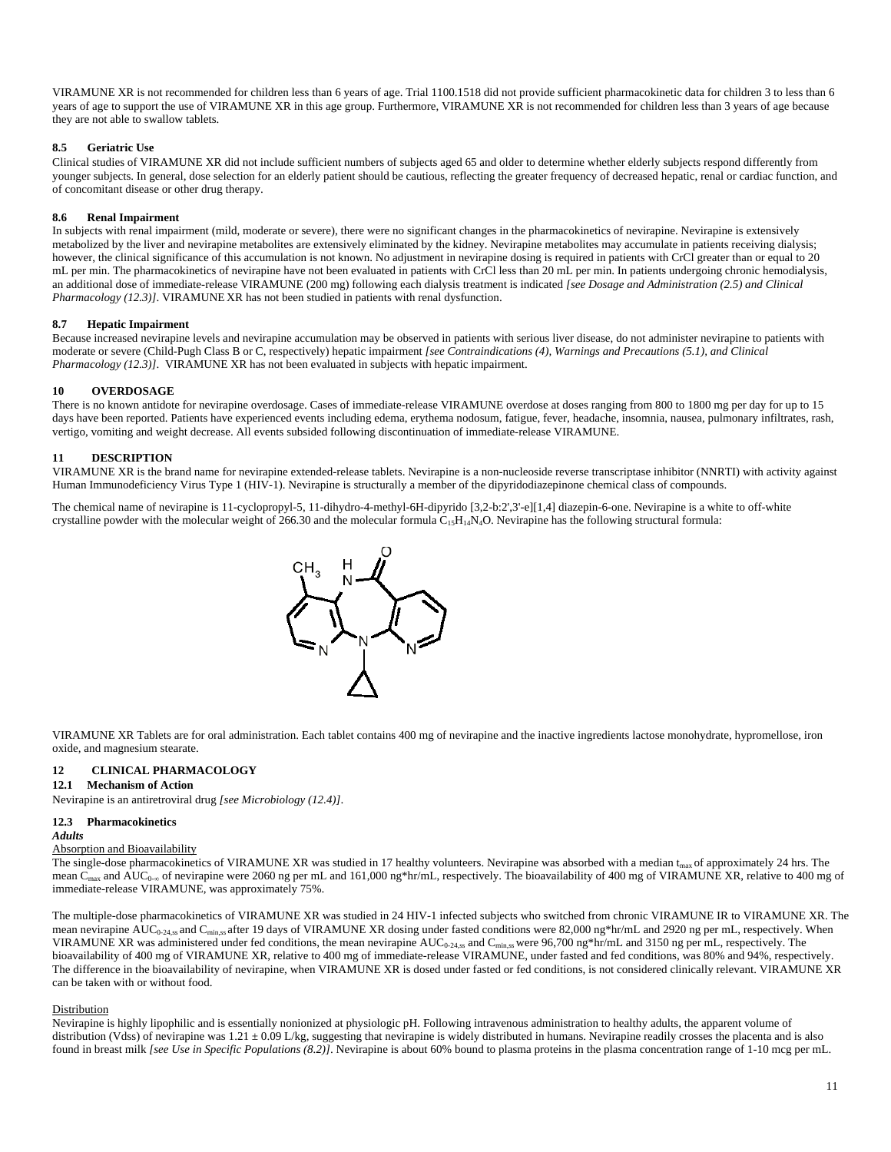VIRAMUNE XR is not recommended for children less than 6 years of age. Trial 1100.1518 did not provide sufficient pharmacokinetic data for children 3 to less than 6 years of age to support the use of VIRAMUNE XR in this age group. Furthermore, VIRAMUNE XR is not recommended for children less than 3 years of age because they are not able to swallow tablets.

#### **8.5 Geriatric Use**

Clinical studies of VIRAMUNE XR did not include sufficient numbers of subjects aged 65 and older to determine whether elderly subjects respond differently from younger subjects. In general, dose selection for an elderly patient should be cautious, reflecting the greater frequency of decreased hepatic, renal or cardiac function, and of concomitant disease or other drug therapy.

#### **8.6 Renal Impairment**

In subjects with renal impairment (mild, moderate or severe), there were no significant changes in the pharmacokinetics of nevirapine. Nevirapine is extensively metabolized by the liver and nevirapine metabolites are extensively eliminated by the kidney. Nevirapine metabolites may accumulate in patients receiving dialysis; however, the clinical significance of this accumulation is not known. No adjustment in nevirapine dosing is required in patients with CrCl greater than or equal to 20 mL per min. The pharmacokinetics of nevirapine have not been evaluated in patients with CrCl less than 20 mL per min. In patients undergoing chronic hemodialysis, an additional dose of immediate-release VIRAMUNE (200 mg) following each dialysis treatment is indicated *[see Dosage and Administration (2.5) and Clinical Pharmacology (12.3)]*. VIRAMUNE XR has not been studied in patients with renal dysfunction.

#### **8.7 Hepatic Impairment**

Because increased nevirapine levels and nevirapine accumulation may be observed in patients with serious liver disease, do not administer nevirapine to patients with moderate or severe (Child-Pugh Class B or C, respectively) hepatic impairment *[see Contraindications (4), Warnings and Precautions (5.1), and Clinical Pharmacology (12.3)]*. VIRAMUNE XR has not been evaluated in subjects with hepatic impairment.

#### **10 OVERDOSAGE**

There is no known antidote for nevirapine overdosage. Cases of immediate-release VIRAMUNE overdose at doses ranging from 800 to 1800 mg per day for up to 15 days have been reported. Patients have experienced events including edema, erythema nodosum, fatigue, fever, headache, insomnia, nausea, pulmonary infiltrates, rash, vertigo, vomiting and weight decrease. All events subsided following discontinuation of immediate-release VIRAMUNE.

#### **11 DESCRIPTION**

VIRAMUNE XR is the brand name for nevirapine extended-release tablets. Nevirapine is a non-nucleoside reverse transcriptase inhibitor (NNRTI) with activity against Human Immunodeficiency Virus Type 1 (HIV-1). Nevirapine is structurally a member of the dipyridodiazepinone chemical class of compounds.

The chemical name of nevirapine is 11-cyclopropyl-5, 11-dihydro-4-methyl-6H-dipyrido [3,2-b:2',3'-e][1,4] diazepin-6-one. Nevirapine is a white to off-white crystalline powder with the molecular weight of 266.30 and the molecular formula  $C_1$ <sub>5</sub>H<sub>14</sub>N<sub>4</sub>O. Nevirapine has the following structural formula:



VIRAMUNE XR Tablets are for oral administration. Each tablet contains 400 mg of nevirapine and the inactive ingredients lactose monohydrate, hypromellose, iron oxide, and magnesium stearate.

### **12 CLINICAL PHARMACOLOGY**

#### **12.1 Mechanism of Action**

Nevirapine is an antiretroviral drug *[see Microbiology (12.4)]*.

#### **12.3 Pharmacokinetics**

#### *Adults*

### Absorption and Bioavailability

The single-dose pharmacokinetics of VIRAMUNE XR was studied in 17 healthy volunteers. Nevirapine was absorbed with a median t<sub>max</sub> of approximately 24 hrs. The mean  $C_{\text{max}}$  and AUC<sub>0-∞</sub> of nevirapine were 2060 ng per mL and 161,000 ng\*hr/mL, respectively. The bioavailability of 400 mg of VIRAMUNE XR, relative to 400 mg of immediate-release VIRAMUNE, was approximately 75%.

The multiple-dose pharmacokinetics of VIRAMUNE XR was studied in 24 HIV-1 infected subjects who switched from chronic VIRAMUNE IR to VIRAMUNE XR. The mean nevirapine AUC<sub>0-24,ss</sub> and C<sub>min,ss</sub> after 19 days of VIRAMUNE XR dosing under fasted conditions were 82,000 ng\*hr/mL and 2920 ng per mL, respectively. When VIRAMUNE XR was administered under fed conditions, the mean nevirapine AUC<sub>0-24,ss</sub> and C<sub>min,ss</sub> were 96,700 ng\*hr/mL and 3150 ng per mL, respectively. The bioavailability of 400 mg of VIRAMUNE XR, relative to 400 mg of immediate-release VIRAMUNE, under fasted and fed conditions, was 80% and 94%, respectively. The difference in the bioavailability of nevirapine, when VIRAMUNE XR is dosed under fasted or fed conditions, is not considered clinically relevant. VIRAMUNE XR can be taken with or without food.

#### Distribution

Nevirapine is highly lipophilic and is essentially nonionized at physiologic pH. Following intravenous administration to healthy adults, the apparent volume of distribution (Vdss) of nevirapine was  $1.21 \pm 0.09$  L/kg, suggesting that nevirapine is widely distributed in humans. Nevirapine readily crosses the placenta and is also found in breast milk [see Use in Specific Populations (8.2)]. Nevirapine is about 60% bound to plasma proteins in the plasma concentration range of 1-10 mcg per mL.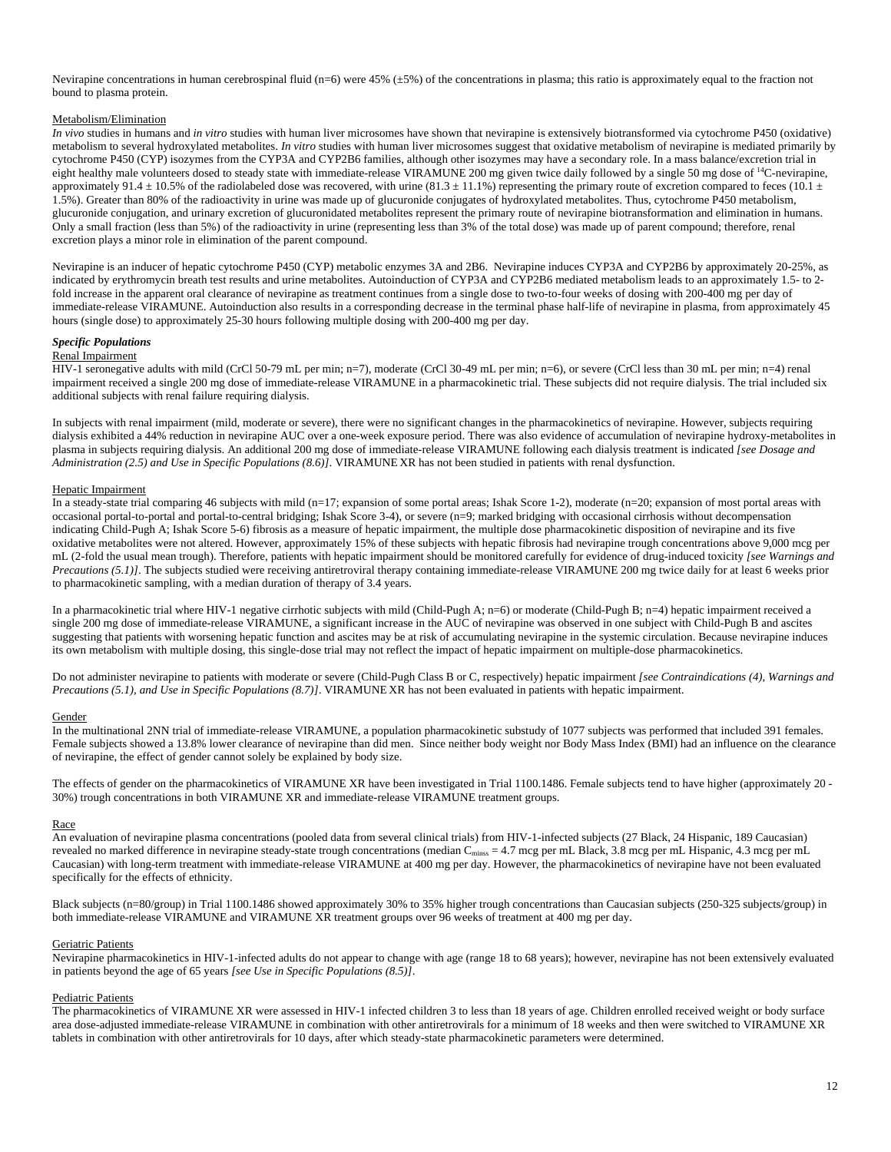Nevirapine concentrations in human cerebrospinal fluid (n=6) were 45%  $(\pm 5)$  of the concentrations in plasma; this ratio is approximately equal to the fraction not bound to plasma protein.

### Metabolism/Elimination

*In vivo* studies in humans and *in vitro* studies with human liver microsomes have shown that nevirapine is extensively biotransformed via cytochrome P450 (oxidative) metabolism to several hydroxylated metabolites. *In vitro* studies with human liver microsomes suggest that oxidative metabolism of nevirapine is mediated primarily by cytochrome P450 (CYP) isozymes from the CYP3A and CYP2B6 families, although other isozymes may have a secondary role. In a mass balance/excretion trial in eight healthy male volunteers dosed to steady state with immediate-release VIRAMUNE 200 mg given twice daily followed by a single 50 mg dose of  $^{14}$ C-nevirapine, approximately 91.4  $\pm$  10.5% of the radiolabeled dose was recovered, with urine (81.3  $\pm$  11.1%) representing the primary route of excretion compared to feces (10.1  $\pm$ 1.5%). Greater than 80% of the radioactivity in urine was made up of glucuronide conjugates of hydroxylated metabolites. Thus, cytochrome P450 metabolism, glucuronide conjugation, and urinary excretion of glucuronidated metabolites represent the primary route of nevirapine biotransformation and elimination in humans. Only a small fraction (less than 5%) of the radioactivity in urine (representing less than 3% of the total dose) was made up of parent compound; therefore, renal excretion plays a minor role in elimination of the parent compound.

Nevirapine is an inducer of hepatic cytochrome P450 (CYP) metabolic enzymes 3A and 2B6. Nevirapine induces CYP3A and CYP2B6 by approximately 20-25%, as indicated by erythromycin breath test results and urine metabolites. Autoinduction of CYP3A and CYP2B6 mediated metabolism leads to an approximately 1.5- to 2 fold increase in the apparent oral clearance of nevirapine as treatment continues from a single dose to two-to-four weeks of dosing with 200-400 mg per day of immediate-release VIRAMUNE. Autoinduction also results in a corresponding decrease in the terminal phase half-life of nevirapine in plasma, from approximately 45 hours (single dose) to approximately 25-30 hours following multiple dosing with 200-400 mg per day.

### *Specific Populations*

#### Renal Impairment

HIV-1 seronegative adults with mild (CrCl 50-79 mL per min; n=7), moderate (CrCl 30-49 mL per min; n=6), or severe (CrCl less than 30 mL per min; n=4) renal impairment received a single 200 mg dose of immediate-release VIRAMUNE in a pharmacokinetic trial. These subjects did not require dialysis. The trial included six additional subjects with renal failure requiring dialysis.

In subjects with renal impairment (mild, moderate or severe), there were no significant changes in the pharmacokinetics of nevirapine. However, subjects requiring dialysis exhibited a 44% reduction in nevirapine AUC over a one-week exposure period. There was also evidence of accumulation of nevirapine hydroxy-metabolites in plasma in subjects requiring dialysis. An additional 200 mg dose of immediate-release VIRAMUNE following each dialysis treatment is indicated *[see Dosage and Administration (2.5) and Use in Specific Populations (8.6)]*. VIRAMUNE XR has not been studied in patients with renal dysfunction.

### Hepatic Impairment

In a steady-state trial comparing 46 subjects with mild (n=17; expansion of some portal areas; Ishak Score 1-2), moderate (n=20; expansion of most portal areas with occasional portal-to-portal and portal-to-central bridging; Ishak Score 3-4), or severe (n=9; marked bridging with occasional cirrhosis without decompensation indicating Child-Pugh A; Ishak Score 5-6) fibrosis as a measure of hepatic impairment, the multiple dose pharmacokinetic disposition of nevirapine and its five oxidative metabolites were not altered. However, approximately 15% of these subjects with hepatic fibrosis had nevirapine trough concentrations above 9,000 mcg per mL (2-fold the usual mean trough). Therefore, patients with hepatic impairment should be monitored carefully for evidence of drug-induced toxicity *[see Warnings and Precautions (5.1)]*. The subjects studied were receiving antiretroviral therapy containing immediate-release VIRAMUNE 200 mg twice daily for at least 6 weeks prior to pharmacokinetic sampling, with a median duration of therapy of 3.4 years.

In a pharmacokinetic trial where HIV-1 negative cirrhotic subjects with mild (Child-Pugh A; n=6) or moderate (Child-Pugh B; n=4) hepatic impairment received a single 200 mg dose of immediate-release VIRAMUNE, a significant increase in the AUC of nevirapine was observed in one subject with Child-Pugh B and ascites suggesting that patients with worsening hepatic function and ascites may be at risk of accumulating nevirapine in the systemic circulation. Because nevirapine induces its own metabolism with multiple dosing, this single-dose trial may not reflect the impact of hepatic impairment on multiple-dose pharmacokinetics.

Do not administer nevirapine to patients with moderate or severe (Child-Pugh Class B or C, respectively) hepatic impairment *[see Contraindications (4), Warnings and Precautions (5.1), and Use in Specific Populations (8.7)]*. VIRAMUNE XR has not been evaluated in patients with hepatic impairment.

#### Gender

In the multinational 2NN trial of immediate-release VIRAMUNE, a population pharmacokinetic substudy of 1077 subjects was performed that included 391 females. Female subjects showed a 13.8% lower clearance of nevirapine than did men. Since neither body weight nor Body Mass Index (BMI) had an influence on the clearance of nevirapine, the effect of gender cannot solely be explained by body size.

The effects of gender on the pharmacokinetics of VIRAMUNE XR have been investigated in Trial 1100.1486. Female subjects tend to have higher (approximately 20 - 30%) trough concentrations in both VIRAMUNE XR and immediate-release VIRAMUNE treatment groups.

#### Race

An evaluation of nevirapine plasma concentrations (pooled data from several clinical trials) from HIV-1-infected subjects (27 Black, 24 Hispanic, 189 Caucasian) revealed no marked difference in nevirapine steady-state trough concentrations (median  $C_{\text{miss}} = 4.7$  mcg per mL Black, 3.8 mcg per mL Hispanic, 4.3 mcg per mL Caucasian) with long-term treatment with immediate-release VIRAMUNE at 400 mg per day. However, the pharmacokinetics of nevirapine have not been evaluated specifically for the effects of ethnicity.

Black subjects (n=80/group) in Trial 1100.1486 showed approximately 30% to 35% higher trough concentrations than Caucasian subjects (250-325 subjects/group) in both immediate-release VIRAMUNE and VIRAMUNE XR treatment groups over 96 weeks of treatment at 400 mg per day.

#### Geriatric Patients

Nevirapine pharmacokinetics in HIV-1-infected adults do not appear to change with age (range 18 to 68 years); however, nevirapine has not been extensively evaluated in patients beyond the age of 65 years *[see Use in Specific Populations (8.5)]*.

#### Pediatric Patients

The pharmacokinetics of VIRAMUNE XR were assessed in HIV-1 infected children 3 to less than 18 years of age. Children enrolled received weight or body surface area dose-adjusted immediate-release VIRAMUNE in combination with other antiretrovirals for a minimum of 18 weeks and then were switched to VIRAMUNE XR tablets in combination with other antiretrovirals for 10 days, after which steady-state pharmacokinetic parameters were determined.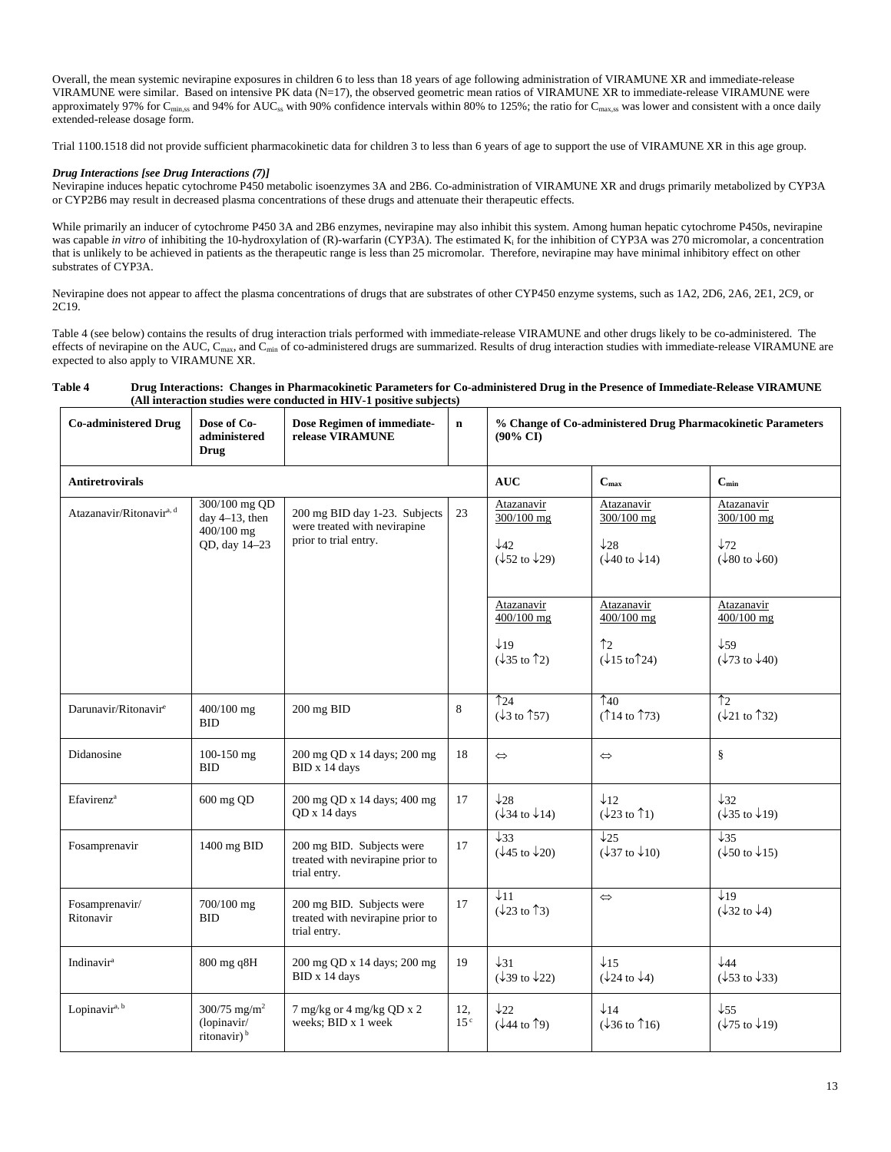Overall, the mean systemic nevirapine exposures in children 6 to less than 18 years of age following administration of VIRAMUNE XR and immediate-release VIRAMUNE were similar. Based on intensive PK data (N=17), the observed geometric mean ratios of VIRAMUNE XR to immediate-release VIRAMUNE were approximately 97% for C<sub>min,ss</sub> and 94% for AUC<sub>ss</sub> with 90% confidence intervals within 80% to 125%; the ratio for C<sub>max,ss</sub> was lower and consistent with a once daily extended-release dosage form.

Trial 1100.1518 did not provide sufficient pharmacokinetic data for children 3 to less than 6 years of age to support the use of VIRAMUNE XR in this age group.

### *Drug Interactions [see Drug Interactions (7)]*

Nevirapine induces hepatic cytochrome P450 metabolic isoenzymes 3A and 2B6. Co-administration of VIRAMUNE XR and drugs primarily metabolized by CYP3A or CYP2B6 may result in decreased plasma concentrations of these drugs and attenuate their therapeutic effects.

While primarily an inducer of cytochrome P450 3A and 2B6 enzymes, nevirapine may also inhibit this system. Among human hepatic cytochrome P450s, nevirapine was capable *in vitro* of inhibiting the 10-hydroxylation of (R)-warfarin (CYP3A). The estimated K<sub>i</sub> for the inhibition of CYP3A was 270 micromolar, a concentration that is unlikely to be achieved in patients as the therapeutic range is less than 25 micromolar. Therefore, nevirapine may have minimal inhibitory effect on other substrates of CYP3A.

Nevirapine does not appear to affect the plasma concentrations of drugs that are substrates of other CYP450 enzyme systems, such as 1A2, 2D6, 2A6, 2E1, 2C9, or 2C19.

Table 4 (see below) contains the results of drug interaction trials performed with immediate-release VIRAMUNE and other drugs likely to be co-administered. The effects of nevirapine on the AUC,  $C_{\text{max}}$ , and  $C_{\text{min}}$  of co-administered drugs are summarized. Results of drug interaction studies with immediate-release VIRAMUNE are expected to also apply to VIRAMUNE XR.

#### **Table 4 Drug Interactions: Changes in Pharmacokinetic Parameters for Co-administered Drug in the Presence of Immediate-Release VIRAMUNE (All interaction studies were conducted in HIV-1 positive subjects)**

| <b>Co-administered Drug</b>          | Dose of Co-<br>administered<br><b>Drug</b>                                                | Dose Regimen of immediate-<br>release VIRAMUNE                                         | $\mathbf n$            | % Change of Co-administered Drug Pharmacokinetic Parameters<br>(90% CI)            |                                                                                                  |                                                                                      |
|--------------------------------------|-------------------------------------------------------------------------------------------|----------------------------------------------------------------------------------------|------------------------|------------------------------------------------------------------------------------|--------------------------------------------------------------------------------------------------|--------------------------------------------------------------------------------------|
| <b>Antiretrovirals</b>               |                                                                                           |                                                                                        |                        | <b>AUC</b>                                                                         | $C_{max}$                                                                                        | $C_{\min}$                                                                           |
| Atazanavir/Ritonavir <sup>a, d</sup> | 300/100 mg QD<br>day $4-13$ , then<br>$400/100$ mg<br>QD, day 14-23                       | 200 mg BID day 1-23. Subjects<br>were treated with nevirapine<br>prior to trial entry. | 23                     | Atazanavir<br>300/100 mg<br>$\downarrow$ 42<br>$(\sqrt{52} \text{ to } \sqrt{29})$ | Atazanavir<br>300/100 mg<br>$\downarrow$ 28<br>$(\sqrt{40} \text{ to } \sqrt{14})$               | Atazanavir<br>$300/100$ mg<br>$\downarrow$ 72<br>$(\sqrt{80} \text{ to } \sqrt{60})$ |
|                                      |                                                                                           |                                                                                        |                        | Atazanavir<br>400/100 mg<br>$\downarrow$ 19<br>$(\sqrt{35} \text{ to } \hat{1}2)$  | Atazanavir<br>400/100 mg<br>$\uparrow$ <sub>2</sub><br>$(\downarrow 15 \text{ to } \uparrow 24)$ | Atazanavir<br>400/100 mg<br>$\downarrow$ 59<br>$(\sqrt{73} \text{ to } \sqrt{40})$   |
| Darunavir/Ritonavir <sup>e</sup>     | 400/100 mg<br><b>BID</b>                                                                  | 200 mg BID                                                                             | 8                      | $\uparrow$ 24<br>$(\downarrow$ 3 to $\uparrow$ 57)                                 | $\uparrow$ 40<br>$(\uparrow$ 14 to $\uparrow$ 73)                                                | $\uparrow$ <sub>2</sub><br>$(\downarrow$ 21 to $\uparrow$ 32)                        |
| Didanosine                           | 100-150 mg<br><b>BID</b>                                                                  | 200 mg QD x 14 days; 200 mg<br>BID x 14 days                                           | 18                     | $\Leftrightarrow$                                                                  | $\Leftrightarrow$                                                                                | ş                                                                                    |
| Efavirenz <sup>a</sup>               | 600 mg QD                                                                                 | 200 mg QD x 14 days; 400 mg<br>OD x 14 days                                            | 17                     | $\downarrow$ 28<br>$(\sqrt{34} \text{ to } \sqrt{14})$                             | $\downarrow$ 12<br>$(\downarrow 23 \text{ to } \uparrow 1)$                                      | $\downarrow$ 32<br>$(\sqrt{35} \text{ to } \sqrt{19})$                               |
| Fosamprenavir                        | 1400 mg BID                                                                               | 200 mg BID. Subjects were<br>treated with nevirapine prior to<br>trial entry.          | 17                     | $\downarrow$ 33<br>$(\sqrt{45} \text{ to } \sqrt{20})$                             | $\downarrow$ 25<br>$(\downarrow$ 37 to $\downarrow$ 10)                                          | $\sqrt{35}$<br>$(\sqrt{50} \text{ to } \sqrt{15})$                                   |
| Fosamprenavir/<br>Ritonavir          | 700/100 mg<br><b>BID</b>                                                                  | 200 mg BID. Subjects were<br>treated with nevirapine prior to<br>trial entry.          | 17                     | $\downarrow$ 11<br>$(\sqrt{23} \text{ to } \hat{13})$                              | $\Leftrightarrow$                                                                                | $\downarrow$ 19<br>$(\sqrt{32} \text{ to } \sqrt{4})$                                |
| Indinavir <sup>a</sup>               | 800 mg q8H                                                                                | 200 mg QD x 14 days; 200 mg<br>BID x 14 days                                           | 19                     | $\downarrow$ 31<br>$(\sqrt{39} \text{ to } \sqrt{22})$                             | $\downarrow$ 15<br>$(\sqrt{24} \text{ to } \sqrt{4})$                                            | $\downarrow$ 44<br>$(\sqrt{53} \text{ to } \sqrt{33})$                               |
| Lopinavira, b                        | $300/75$ mg/m <sup>2</sup><br>$\overline{\text{ (lopinavir)}}$<br>ritonavir) <sup>b</sup> | 7 mg/kg or 4 mg/kg QD x 2<br>weeks: BID x 1 week                                       | 12,<br>15 <sup>c</sup> | $\downarrow$ 22<br>$(\sqrt{44} \text{ to } \uparrow 9)$                            | $\downarrow$ 14<br>$(\sqrt{36} \text{ to } \hat{16})$                                            | $\downarrow$ 55<br>$(\sqrt{75} \text{ to } \sqrt{19})$                               |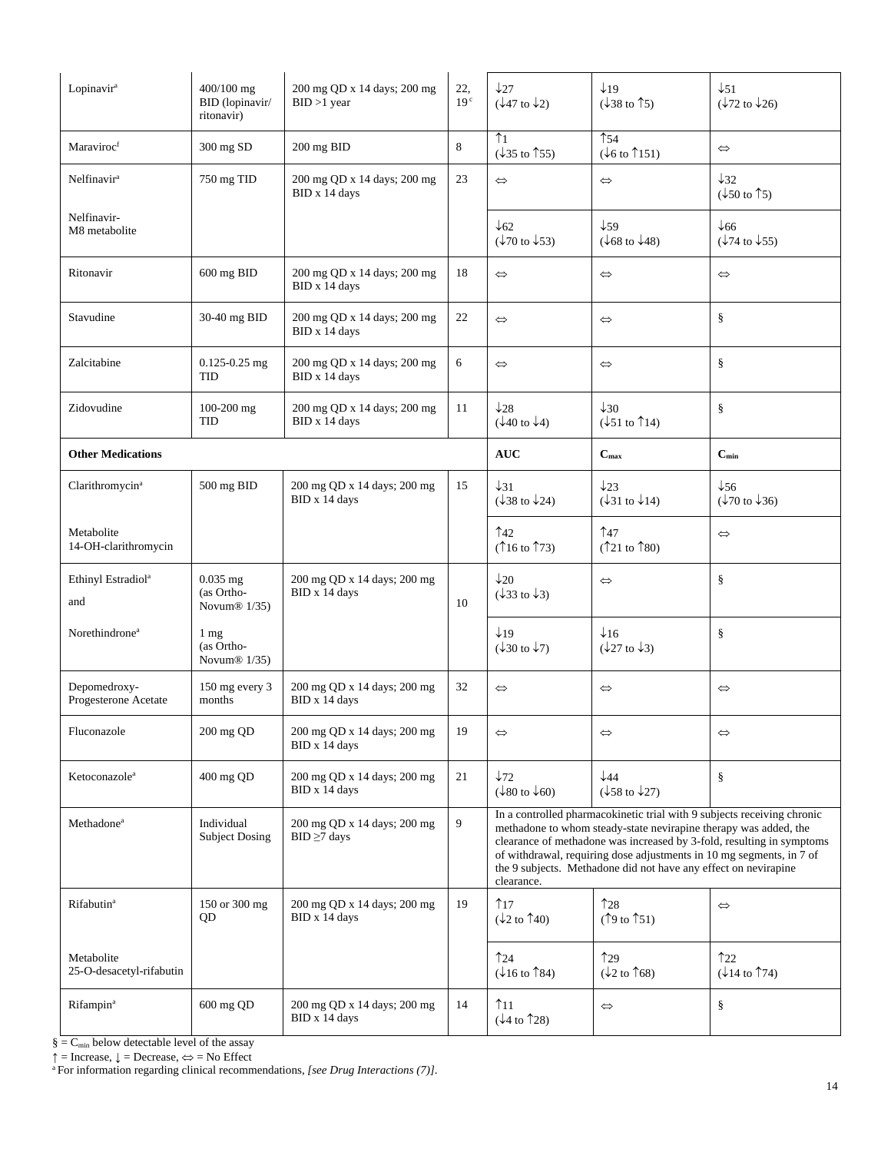| Lopinavir <sup>a</sup>                 | 400/100 mg<br>BID (lopinavir/<br>ritonavir)              | 200 mg QD x 14 days; 200 mg<br>$BID > 1$ year    | 22,<br>19 <sup>c</sup> | $\downarrow$ 27<br>$(\sqrt{47} \text{ to } \sqrt{2})$                                                                                                                                                                                                                                                                                                                         | $\downarrow$ 19<br>$(\sqrt{38} \text{ to } \uparrow 5)$ | $\downarrow$ 51<br>$(\sqrt{72} \text{ to } \sqrt{26})$  |
|----------------------------------------|----------------------------------------------------------|--------------------------------------------------|------------------------|-------------------------------------------------------------------------------------------------------------------------------------------------------------------------------------------------------------------------------------------------------------------------------------------------------------------------------------------------------------------------------|---------------------------------------------------------|---------------------------------------------------------|
| Maraviroc <sup>f</sup>                 | 300 mg SD                                                | 200 mg BID                                       | 8                      | $\uparrow$ 1<br>$(\downarrow$ 35 to $\uparrow$ 55)                                                                                                                                                                                                                                                                                                                            | $\uparrow$ 54<br>$(\sqrt{6} \text{ to } \uparrow 151)$  | $\Leftrightarrow$                                       |
| Nelfinavir <sup>a</sup>                | 750 mg TID                                               | 200 mg QD x 14 days; 200 mg<br>BID x 14 days     | 23                     | $\Leftrightarrow$                                                                                                                                                                                                                                                                                                                                                             | $\Leftrightarrow$                                       | $\downarrow$ 32<br>$(\sqrt{50} \text{ to } \uparrow 5)$ |
| Nelfinavir-<br>M8 metabolite           |                                                          |                                                  |                        | $\downarrow$ 62<br>$(\sqrt[1]{70}$ to $\sqrt[1]{53})$                                                                                                                                                                                                                                                                                                                         | $\downarrow$ 59<br>$(\sqrt{68} \text{ to } \sqrt{48})$  | $\downarrow$ 66<br>$(\sqrt{74} \text{ to } \sqrt{55})$  |
| Ritonavir                              | 600 mg BID                                               | 200 mg QD x 14 days; 200 mg<br>BID x 14 days     | 18                     | $\Leftrightarrow$                                                                                                                                                                                                                                                                                                                                                             | $\Leftrightarrow$                                       | $\Leftrightarrow$                                       |
| Stavudine                              | 30-40 mg BID                                             | 200 mg QD x 14 days; 200 mg<br>BID x 14 days     | 22                     | $\Leftrightarrow$                                                                                                                                                                                                                                                                                                                                                             | $\Leftrightarrow$                                       | ş                                                       |
| Zalcitabine                            | $0.125 - 0.25$ mg<br><b>TID</b>                          | 200 mg QD x 14 days; 200 mg<br>BID x 14 days     | 6                      | $\Leftrightarrow$                                                                                                                                                                                                                                                                                                                                                             | $\Leftrightarrow$                                       | ş                                                       |
| Zidovudine                             | $100-200$ mg<br>TID                                      | 200 mg QD x 14 days; 200 mg<br>BID x 14 days     | 11                     | $\downarrow$ 28<br>$(\downarrow 40 \text{ to } \downarrow 4)$                                                                                                                                                                                                                                                                                                                 | $\downarrow$ 30<br>$(\sqrt{51} \text{ to } \hat{1}14)$  | ş                                                       |
| <b>Other Medications</b>               |                                                          |                                                  |                        | <b>AUC</b>                                                                                                                                                                                                                                                                                                                                                                    | $\mathbf{C}_{\max}$                                     | $\mathbf{C}_{\min}$                                     |
| Clarithromycin <sup>a</sup>            | 500 mg BID                                               | 200 mg QD x 14 days; 200 mg<br>BID x 14 days     | 15                     | $\downarrow$ 31<br>$(\downarrow$ 38 to $\downarrow$ 24)                                                                                                                                                                                                                                                                                                                       | $\downarrow$ 23<br>$(\sqrt{31} \text{ to } \sqrt{14})$  | $\downarrow$ 56<br>$(\sqrt[1]{70}$ to $\sqrt[1]{36}$ )  |
| Metabolite<br>14-OH-clarithromycin     |                                                          |                                                  |                        | $\uparrow$ 42<br>$(\uparrow 16 \text{ to } \uparrow 73)$                                                                                                                                                                                                                                                                                                                      | $\uparrow$ 47<br>$($ 121 to 180)                        | $\Leftrightarrow$                                       |
| Ethinyl Estradiol <sup>a</sup><br>and  | $0.035$ mg<br>(as Ortho-<br>Novum $\mathfrak{B}$ 1/35)   | 200 mg QD x 14 days; 200 mg<br>BID x 14 days     | 10                     | $\downarrow$ 20<br>$(\sqrt{33} \text{ to } \sqrt{3})$                                                                                                                                                                                                                                                                                                                         | $\Leftrightarrow$                                       | ş                                                       |
| Norethindrone <sup>a</sup>             | $1 \text{ mg}$<br>(as Ortho-<br>Novum <sup>®</sup> 1/35) |                                                  |                        | $\downarrow$ 19<br>$(\downarrow 30 \text{ to } \downarrow 7)$                                                                                                                                                                                                                                                                                                                 | $\times$ 16<br>$(\sqrt{27} \text{ to } \sqrt{3})$       | $\S$                                                    |
| Depomedroxy-<br>Progesterone Acetate   | 150 mg every 3<br>months                                 | 200 mg QD x 14 days; 200 mg<br>BID x 14 days     | 32                     | $\Leftrightarrow$                                                                                                                                                                                                                                                                                                                                                             | $\Leftrightarrow$                                       | $\Leftrightarrow$                                       |
| Fluconazole                            | 200 mg QD                                                | 200 mg QD x 14 days; 200 mg<br>BID x 14 days     | 19                     | $\Leftrightarrow$                                                                                                                                                                                                                                                                                                                                                             | $\Leftrightarrow$                                       | $\Leftrightarrow$                                       |
| Ketoconazole <sup>a</sup>              | 400 mg QD                                                | 200 mg QD x 14 days; 200 mg<br>BID x 14 days     | 21                     | $\downarrow$ 72<br>$(\downarrow 80 \text{ to } \downarrow 60)$                                                                                                                                                                                                                                                                                                                | $\sqrt{44}$<br>$(\sqrt{58} \text{ to } \sqrt{27})$      | $\S$                                                    |
| Methadone <sup>a</sup>                 | Individual<br><b>Subject Dosing</b>                      | 200 mg QD x 14 days; 200 mg<br>$BID \geq 7$ days | 9                      | In a controlled pharmacokinetic trial with 9 subjects receiving chronic<br>methadone to whom steady-state nevirapine therapy was added, the<br>clearance of methadone was increased by 3-fold, resulting in symptoms<br>of withdrawal, requiring dose adjustments in 10 mg segments, in 7 of<br>the 9 subjects. Methadone did not have any effect on nevirapine<br>clearance. |                                                         |                                                         |
| Rifabutin <sup>a</sup>                 | 150 or 300 mg<br>QD                                      | 200 mg QD x 14 days; 200 mg<br>BID x 14 days     | 19                     | 17<br>$(\downarrow$ 2 to $\uparrow$ 40)                                                                                                                                                                                                                                                                                                                                       | 128<br>(19 to 151)                                      | $\Leftrightarrow$                                       |
| Metabolite<br>25-O-desacetyl-rifabutin |                                                          |                                                  |                        | $\uparrow$ 24<br>$(\downarrow 16 \text{ to } \uparrow 84)$                                                                                                                                                                                                                                                                                                                    | 129<br>$(\downarrow$ 2 to $\uparrow$ 68)                | 122<br>$(\sqrt{14} \text{ to } \uparrow 74)$            |
| Rifampin <sup>a</sup>                  | 600 mg QD                                                | 200 mg QD x 14 days; 200 mg<br>BID x 14 days     | 14                     | $\uparrow$ 11<br>$(\downarrow 4$ to $\uparrow$ 28)                                                                                                                                                                                                                                                                                                                            | $\Leftrightarrow$                                       | ş                                                       |

 $\S = C_{\text{min}}$  below detectable level of the assay  $\uparrow$  = Increase,  $\downarrow$  = Decrease,  $\Leftrightarrow$  = No Effect

<sup>a</sup> For information regarding clinical recommendations, [see Drug Interactions (7)].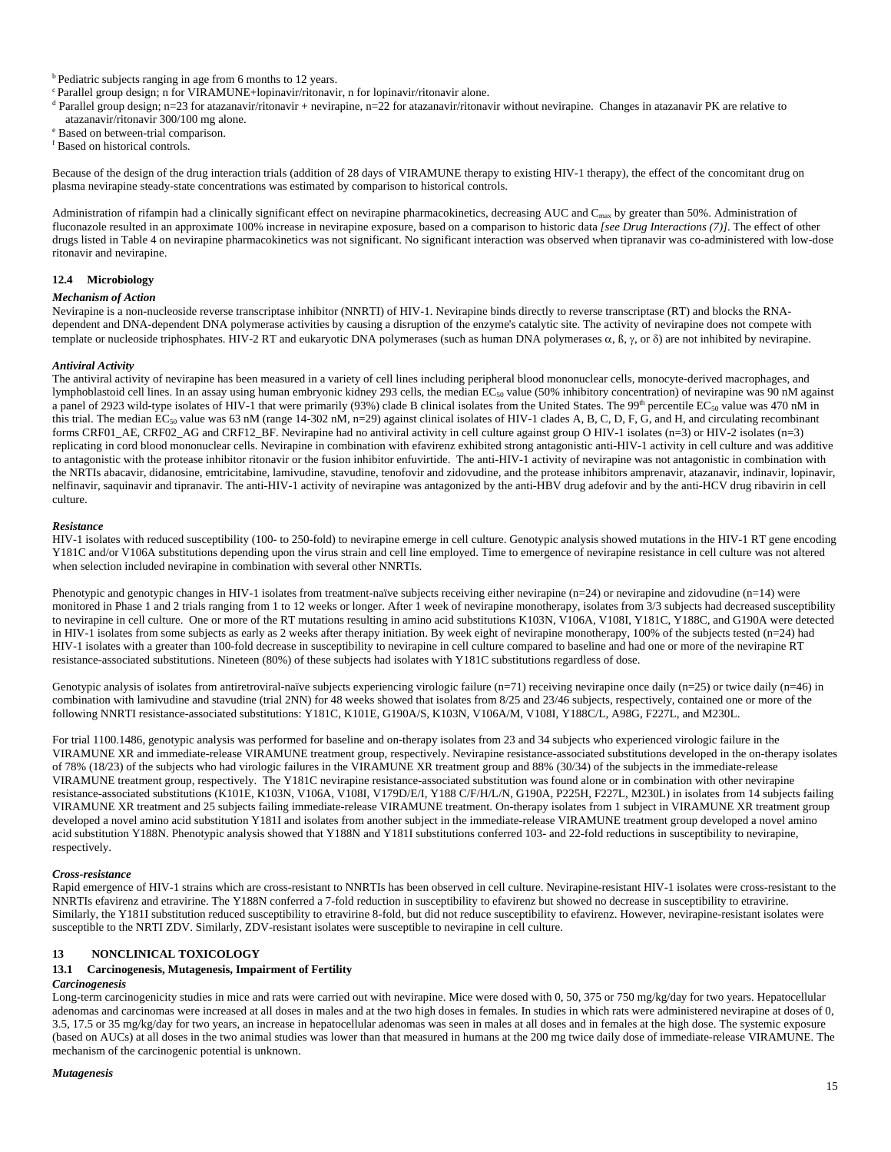b Pediatric subjects ranging in age from 6 months to 12 years.

<sup>c</sup> Parallel group design; n for VIRAMUNE+lopinavir/ritonavir, n for lopinavir/ritonavir alone.

 $d$  Parallel group design; n=23 for atazanavir/ritonavir + nevirapine, n=22 for atazanavir/ritonavir without nevirapine. Changes in atazanavir PK are relative to atazanavir/ritonavir 300/100 mg alone.

Based on between-trial comparison.

f Based on historical controls.

Because of the design of the drug interaction trials (addition of 28 days of VIRAMUNE therapy to existing HIV-1 therapy), the effect of the concomitant drug on plasma nevirapine steady-state concentrations was estimated by comparison to historical controls.

Administration of rifampin had a clinically significant effect on nevirapine pharmacokinetics, decreasing AUC and C<sub>max</sub> by greater than 50%. Administration of fluconazole resulted in an approximate 100% increase in nevirapine exposure, based on a comparison to historic data *[see Drug Interactions (7)]*. The effect of other drugs listed in Table 4 on nevirapine pharmacokinetics was not significant. No significant interaction was observed when tipranavir was co-administered with low-dose ritonavir and nevirapine.

#### **12.4 Microbiology**

#### *Mechanism of Action*

Nevirapine is a non-nucleoside reverse transcriptase inhibitor (NNRTI) of HIV-1. Nevirapine binds directly to reverse transcriptase (RT) and blocks the RNAdependent and DNA-dependent DNA polymerase activities by causing a disruption of the enzyme's catalytic site. The activity of nevirapine does not compete with template or nucleoside triphosphates. HIV-2 RT and eukaryotic DNA polymerases (such as human DNA polymerases  $\alpha$ ,  $\beta$ ,  $\gamma$ , or  $\delta$ ) are not inhibited by nevirapine.

#### *Antiviral Activity*

The antiviral activity of nevirapine has been measured in a variety of cell lines including peripheral blood mononuclear cells, monocyte-derived macrophages, and lymphoblastoid cell lines. In an assay using human embryonic kidney 293 cells, the median EC<sub>50</sub> value (50% inhibitory concentration) of nevirapine was 90 nM against a panel of 2923 wild-type isolates of HIV-1 that were primarily (93%) clade B clinical isolates from the United States. The 99<sup>th</sup> percentile EC<sub>50</sub> value was 470 nM in this trial. The median EC<sub>50</sub> value was 63 nM (range 14-302 nM, n=29) against clinical isolates of HIV-1 clades A, B, C, D, F, G, and H, and circulating recombinant forms CRF01\_AE, CRF02\_AG and CRF12\_BF. Nevirapine had no antiviral activity in cell culture against group O HIV-1 isolates (n=3) or HIV-2 isolates (n=3) replicating in cord blood mononuclear cells. Nevirapine in combination with efavirenz exhibited strong antagonistic anti-HIV-1 activity in cell culture and was additive to antagonistic with the protease inhibitor ritonavir or the fusion inhibitor enfuvirtide. The anti-HIV-1 activity of nevirapine was not antagonistic in combination with the NRTIs abacavir, didanosine, emtricitabine, lamivudine, stavudine, tenofovir and zidovudine, and the protease inhibitors amprenavir, atazanavir, indinavir, lopinavir, nelfinavir, saquinavir and tipranavir. The anti-HIV-1 activity of nevirapine was antagonized by the anti-HBV drug adefovir and by the anti-HCV drug ribavirin in cell culture.

#### *Resistance*

HIV-1 isolates with reduced susceptibility (100- to 250-fold) to nevirapine emerge in cell culture. Genotypic analysis showed mutations in the HIV-1 RT gene encoding Y181C and/or V106A substitutions depending upon the virus strain and cell line employed. Time to emergence of nevirapine resistance in cell culture was not altered when selection included nevirapine in combination with several other NNRTIs.

Phenotypic and genotypic changes in HIV-1 isolates from treatment-naïve subjects receiving either nevirapine (n=24) or nevirapine and zidovudine (n=14) were monitored in Phase 1 and 2 trials ranging from 1 to 12 weeks or longer. After 1 week of nevirapine monotherapy, isolates from 3/3 subjects had decreased susceptibility to nevirapine in cell culture. One or more of the RT mutations resulting in amino acid substitutions K103N, V106A, V108I, Y181C, Y188C, and G190A were detected in HIV-1 isolates from some subjects as early as 2 weeks after therapy initiation. By week eight of nevirapine monotherapy, 100% of the subjects tested (n=24) had HIV-1 isolates with a greater than 100-fold decrease in susceptibility to nevirapine in cell culture compared to baseline and had one or more of the nevirapine RT resistance-associated substitutions. Nineteen (80%) of these subjects had isolates with Y181C substitutions regardless of dose.

Genotypic analysis of isolates from antiretroviral-naïve subjects experiencing virologic failure (n=71) receiving nevirapine once daily (n=25) or twice daily (n=46) in combination with lamivudine and stavudine (trial 2NN) for 48 weeks showed that isolates from 8/25 and 23/46 subjects, respectively, contained one or more of the following NNRTI resistance-associated substitutions: Y181C, K101E, G190A/S, K103N, V106A/M, V108I, Y188C/L, A98G, F227L, and M230L.

For trial 1100.1486, genotypic analysis was performed for baseline and on-therapy isolates from 23 and 34 subjects who experienced virologic failure in the VIRAMUNE XR and immediate-release VIRAMUNE treatment group, respectively. Nevirapine resistance-associated substitutions developed in the on-therapy isolates of 78% (18/23) of the subjects who had virologic failures in the VIRAMUNE XR treatment group and 88% (30/34) of the subjects in the immediate-release VIRAMUNE treatment group, respectively. The Y181C nevirapine resistance-associated substitution was found alone or in combination with other nevirapine resistance-associated substitutions (K101E, K103N, V106A, V108I, V179D/E/I, Y188 C/F/H/L/N, G190A, P225H, F227L, M230L) in isolates from 14 subjects failing VIRAMUNE XR treatment and 25 subjects failing immediate-release VIRAMUNE treatment. On-therapy isolates from 1 subject in VIRAMUNE XR treatment group developed a novel amino acid substitution Y181I and isolates from another subject in the immediate-release VIRAMUNE treatment group developed a novel amino acid substitution Y188N. Phenotypic analysis showed that Y188N and Y181I substitutions conferred 103- and 22-fold reductions in susceptibility to nevirapine, respectively.

#### *Cross-resistance*

Rapid emergence of HIV-1 strains which are cross-resistant to NNRTIs has been observed in cell culture. Nevirapine-resistant HIV-1 isolates were cross-resistant to the NNRTIs efavirenz and etravirine. The Y188N conferred a 7-fold reduction in susceptibility to efavirenz but showed no decrease in susceptibility to etravirine. Similarly, the Y181I substitution reduced susceptibility to etravirine 8-fold, but did not reduce susceptibility to efavirenz. However, nevirapine-resistant isolates were susceptible to the NRTI ZDV. Similarly, ZDV-resistant isolates were susceptible to nevirapine in cell culture.

### **13 NONCLINICAL TOXICOLOGY**

### **13.1 Carcinogenesis, Mutagenesis, Impairment of Fertility**

#### *Carcinogenesis*

Long**-**term carcinogenicity studies in mice and rats were carried out with nevirapine. Mice were dosed with 0, 50, 375 or 750 mg/kg/day for two years. Hepatocellular adenomas and carcinomas were increased at all doses in males and at the two high doses in females. In studies in which rats were administered nevirapine at doses of 0, 3.5, 17.5 or 35 mg/kg/day for two years, an increase in hepatocellular adenomas was seen in males at all doses and in females at the high dose. The systemic exposure (based on AUCs) at all doses in the two animal studies was lower than that measured in humans at the 200 mg twice daily dose of immediate-release VIRAMUNE. The mechanism of the carcinogenic potential is unknown.

#### *Mutagenesis*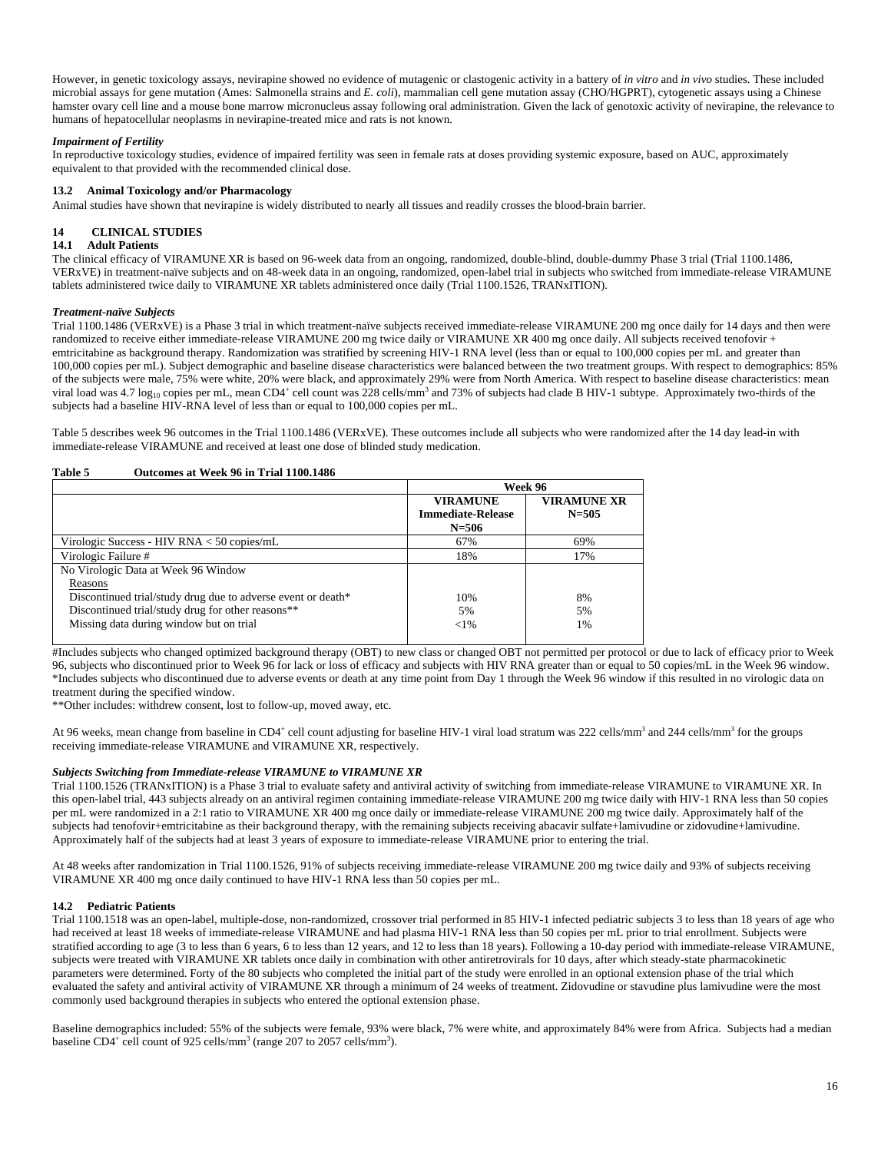However, in genetic toxicology assays, nevirapine showed no evidence of mutagenic or clastogenic activity in a battery of *in vitro* and *in vivo* studies. These included microbial assays for gene mutation (Ames: Salmonella strains and *E. coli*), mammalian cell gene mutation assay (CHO/HGPRT), cytogenetic assays using a Chinese hamster ovary cell line and a mouse bone marrow micronucleus assay following oral administration. Given the lack of genotoxic activity of nevirapine, the relevance to humans of hepatocellular neoplasms in nevirapine-treated mice and rats is not known.

### *Impairment of Fertility*

In reproductive toxicology studies, evidence of impaired fertility was seen in female rats at doses providing systemic exposure, based on AUC, approximately equivalent to that provided with the recommended clinical dose.

## **13.2 Animal Toxicology and/or Pharmacology**

Animal studies have shown that nevirapine is widely distributed to nearly all tissues and readily crosses the blood-brain barrier.

### **14 CLINICAL STUDIES**

#### **14.1 Adult Patients**

The clinical efficacy of VIRAMUNE XR is based on 96-week data from an ongoing, randomized, double-blind, double-dummy Phase 3 trial (Trial 1100.1486, VERxVE) in treatment-naïve subjects and on 48-week data in an ongoing, randomized, open-label trial in subjects who switched from immediate-release VIRAMUNE tablets administered twice daily to VIRAMUNE XR tablets administered once daily (Trial 1100.1526, TRANxITION).

#### *Treatment-naïve Subjects*

Trial 1100.1486 (VERxVE) is a Phase 3 trial in which treatment-naïve subjects received immediate-release VIRAMUNE 200 mg once daily for 14 days and then were randomized to receive either immediate-release VIRAMUNE 200 mg twice daily or VIRAMUNE XR 400 mg once daily. All subjects received tenofovir + emtricitabine as background therapy. Randomization was stratified by screening HIV-1 RNA level (less than or equal to 100,000 copies per mL and greater than 100,000 copies per mL). Subject demographic and baseline disease characteristics were balanced between the two treatment groups. With respect to demographics: 85% of the subjects were male, 75% were white, 20% were black, and approximately 29% were from North America. With respect to baseline disease characteristics: mean viral load was 4.7 log<sub>10</sub> copies per mL, mean CD4<sup>+</sup> cell count was 228 cells/mm<sup>3</sup> and 73% of subjects had clade B HIV-1 subtype. Approximately two-thirds of the subjects had a baseline HIV-RNA level of less than or equal to 100,000 copies per mL.

Table 5 describes week 96 outcomes in the Trial 1100.1486 (VERxVE). These outcomes include all subjects who were randomized after the 14 day lead-in with immediate-release VIRAMUNE and received at least one dose of blinded study medication.

### **Table 5 Outcomes at Week 96 in Trial 1100.1486**

|                                                              | Week 96                  |                    |  |
|--------------------------------------------------------------|--------------------------|--------------------|--|
|                                                              | <b>VIRAMUNE</b>          | <b>VIRAMUNE XR</b> |  |
|                                                              | <b>Immediate-Release</b> | $N = 505$          |  |
|                                                              | $N = 506$                |                    |  |
| Virologic Success - HIV RNA $<$ 50 copies/mL                 | 67%                      | 69%                |  |
| Virologic Failure #                                          | 18%                      | 17%                |  |
| No Virologic Data at Week 96 Window                          |                          |                    |  |
| Reasons                                                      |                          |                    |  |
| Discontinued trial/study drug due to adverse event or death* | 10%                      | 8%                 |  |
| Discontinued trial/study drug for other reasons**            | 5%                       | 5%                 |  |
| Missing data during window but on trial                      | ${<}1\%$                 | 1%                 |  |
|                                                              |                          |                    |  |

#Includes subjects who changed optimized background therapy (OBT) to new class or changed OBT not permitted per protocol or due to lack of efficacy prior to Week 96, subjects who discontinued prior to Week 96 for lack or loss of efficacy and subjects with HIV RNA greater than or equal to 50 copies/mL in the Week 96 window. \*Includes subjects who discontinued due to adverse events or death at any time point from Day 1 through the Week 96 window if this resulted in no virologic data on treatment during the specified window.

\*\*Other includes: withdrew consent, lost to follow-up, moved away, etc.

At 96 weeks, mean change from baseline in CD4<sup>+</sup> cell count adjusting for baseline HIV-1 viral load stratum was 222 cells/mm<sup>3</sup> and 244 cells/mm<sup>3</sup> for the groups receiving immediate-release VIRAMUNE and VIRAMUNE XR, respectively.

#### *Subjects Switching from Immediate-release VIRAMUNE to VIRAMUNE XR*

Trial 1100.1526 (TRANxITION) is a Phase 3 trial to evaluate safety and antiviral activity of switching from immediate-release VIRAMUNE to VIRAMUNE XR. In this open-label trial, 443 subjects already on an antiviral regimen containing immediate-release VIRAMUNE 200 mg twice daily with HIV-1 RNA less than 50 copies per mL were randomized in a 2:1 ratio to VIRAMUNE XR 400 mg once daily or immediate-release VIRAMUNE 200 mg twice daily. Approximately half of the subjects had tenofovir+emtricitabine as their background therapy, with the remaining subjects receiving abacavir sulfate+lamivudine or zidovudine+lamivudine. Approximately half of the subjects had at least 3 years of exposure to immediate-release VIRAMUNE prior to entering the trial.

At 48 weeks after randomization in Trial 1100.1526, 91% of subjects receiving immediate-release VIRAMUNE 200 mg twice daily and 93% of subjects receiving VIRAMUNE XR 400 mg once daily continued to have HIV-1 RNA less than 50 copies per mL.

#### **14.2 Pediatric Patients**

Trial 1100.1518 was an open-label, multiple-dose, non-randomized, crossover trial performed in 85 HIV-1 infected pediatric subjects 3 to less than 18 years of age who had received at least 18 weeks of immediate-release VIRAMUNE and had plasma HIV-1 RNA less than 50 copies per mL prior to trial enrollment. Subjects were stratified according to age (3 to less than 6 years, 6 to less than 12 years, and 12 to less than 18 years). Following a 10-day period with immediate-release VIRAMUNE, subjects were treated with VIRAMUNE XR tablets once daily in combination with other antiretrovirals for 10 days, after which steady-state pharmacokinetic parameters were determined. Forty of the 80 subjects who completed the initial part of the study were enrolled in an optional extension phase of the trial which evaluated the safety and antiviral activity of VIRAMUNE XR through a minimum of 24 weeks of treatment. Zidovudine or stavudine plus lamivudine were the most commonly used background therapies in subjects who entered the optional extension phase.

Baseline demographics included: 55% of the subjects were female, 93% were black, 7% were white, and approximately 84% were from Africa. Subjects had a median baseline CD4<sup>+</sup> cell count of 925 cells/mm<sup>3</sup> (range 207 to 2057 cells/mm<sup>3</sup>).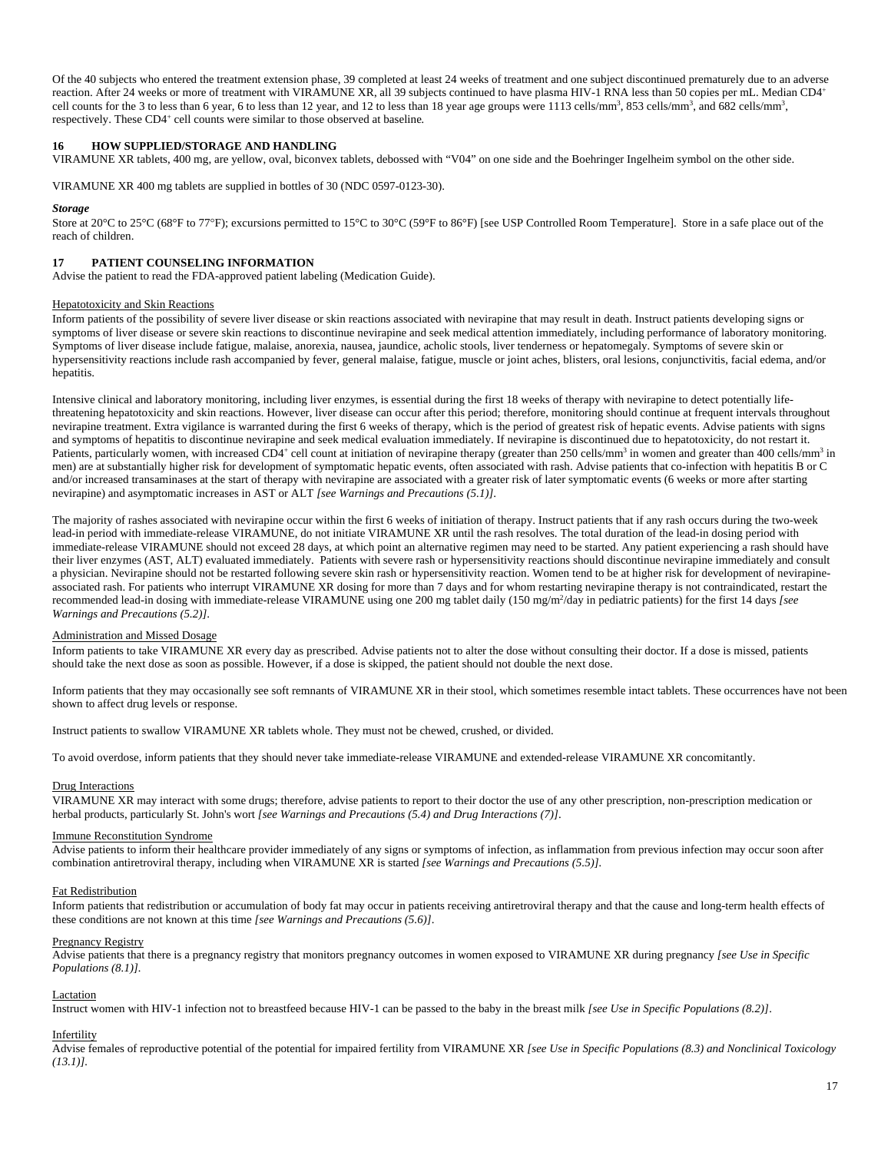Of the 40 subjects who entered the treatment extension phase, 39 completed at least 24 weeks of treatment and one subject discontinued prematurely due to an adverse reaction. After 24 weeks or more of treatment with VIRAMUNE XR, all 39 subjects continued to have plasma HIV-1 RNA less than 50 copies per mL. Median CD4<sup>+</sup> cell counts for the 3 to less than 6 year, 6 to less than 12 year, and 12 to less than 18 year age groups were 1113 cells/mm<sup>3</sup>, 853 cells/mm<sup>3</sup>, and 682 cells/mm<sup>3</sup>, respectively. These CD4<sup>+</sup> cell counts were similar to those observed at baseline.

#### **16 HOW SUPPLIED/STORAGE AND HANDLING**

VIRAMUNE XR tablets, 400 mg, are yellow, oval, biconvex tablets, debossed with "V04" on one side and the Boehringer Ingelheim symbol on the other side.

VIRAMUNE XR 400 mg tablets are supplied in bottles of 30 (NDC 0597-0123-30).

#### *Storage*

Store at 20°C to 25°C (68°F to 77°F); excursions permitted to 15°C to 30°C (59°F to 86°F) [see USP Controlled Room Temperature]. Store in a safe place out of the reach of children.

#### **17 PATIENT COUNSELING INFORMATION**

Advise the patient to read the FDA-approved patient labeling (Medication Guide).

#### Hepatotoxicity and Skin Reactions

Inform patients of the possibility of severe liver disease or skin reactions associated with nevirapine that may result in death. Instruct patients developing signs or symptoms of liver disease or severe skin reactions to discontinue nevirapine and seek medical attention immediately, including performance of laboratory monitoring. Symptoms of liver disease include fatigue, malaise, anorexia, nausea, jaundice, acholic stools, liver tenderness or hepatomegaly. Symptoms of severe skin or hypersensitivity reactions include rash accompanied by fever, general malaise, fatigue, muscle or joint aches, blisters, oral lesions, conjunctivitis, facial edema, and/or hepatitis.

Intensive clinical and laboratory monitoring, including liver enzymes, is essential during the first 18 weeks of therapy with nevirapine to detect potentially lifethreatening hepatotoxicity and skin reactions. However, liver disease can occur after this period; therefore, monitoring should continue at frequent intervals throughout nevirapine treatment. Extra vigilance is warranted during the first 6 weeks of therapy, which is the period of greatest risk of hepatic events. Advise patients with signs and symptoms of hepatitis to discontinue nevirapine and seek medical evaluation immediately. If nevirapine is discontinued due to hepatotoxicity, do not restart it. Patients, particularly women, with increased CD4<sup>+</sup> cell count at initiation of nevirapine therapy (greater than 250 cells/mm<sup>3</sup> in women and greater than 400 cells/mm<sup>3</sup> in men) are at substantially higher risk for development of symptomatic hepatic events, often associated with rash. Advise patients that co-infection with hepatitis B or C and/or increased transaminases at the start of therapy with nevirapine are associated with a greater risk of later symptomatic events (6 weeks or more after starting nevirapine) and asymptomatic increases in AST or ALT *[see Warnings and Precautions (5.1)]*.

The majority of rashes associated with nevirapine occur within the first 6 weeks of initiation of therapy. Instruct patients that if any rash occurs during the two-week lead-in period with immediate-release VIRAMUNE, do not initiate VIRAMUNE XR until the rash resolves. The total duration of the lead-in dosing period with immediate-release VIRAMUNE should not exceed 28 days, at which point an alternative regimen may need to be started. Any patient experiencing a rash should have their liver enzymes (AST, ALT) evaluated immediately. Patients with severe rash or hypersensitivity reactions should discontinue nevirapine immediately and consult a physician. Nevirapine should not be restarted following severe skin rash or hypersensitivity reaction. Women tend to be at higher risk for development of nevirapineassociated rash. For patients who interrupt VIRAMUNE XR dosing for more than 7 days and for whom restarting nevirapine therapy is not contraindicated, restart the recommended lead-in dosing with immediate-release VIRAMUNE using one 200 mg tablet daily (150 mg/m<sup>2</sup>/day in pediatric patients) for the first 14 days [see *Warnings and Precautions (5.2)]*.

### Administration and Missed Dosage

Inform patients to take VIRAMUNE XR every day as prescribed. Advise patients not to alter the dose without consulting their doctor. If a dose is missed, patients should take the next dose as soon as possible. However, if a dose is skipped, the patient should not double the next dose.

Inform patients that they may occasionally see soft remnants of VIRAMUNE XR in their stool, which sometimes resemble intact tablets. These occurrences have not been shown to affect drug levels or response.

Instruct patients to swallow VIRAMUNE XR tablets whole. They must not be chewed, crushed, or divided.

To avoid overdose, inform patients that they should never take immediate-release VIRAMUNE and extended-release VIRAMUNE XR concomitantly.

#### Drug Interactions

VIRAMUNE XR may interact with some drugs; therefore, advise patients to report to their doctor the use of any other prescription, non-prescription medication or herbal products, particularly St. John's wort *[see Warnings and Precautions (5.4) and Drug Interactions (7)]*.

#### Immune Reconstitution Syndrome

Advise patients to inform their healthcare provider immediately of any signs or symptoms of infection, as inflammation from previous infection may occur soon after combination antiretroviral therapy, including when VIRAMUNE XR is started *[see Warnings and Precautions (5.5)].*

#### Fat Redistribution

Inform patients that redistribution or accumulation of body fat may occur in patients receiving antiretroviral therapy and that the cause and long-term health effects of these conditions are not known at this time *[see Warnings and Precautions (5.6)]*.

#### Pregnancy Registry

Advise patients that there is a pregnancy registry that monitors pregnancy outcomes in women exposed to VIRAMUNE XR during pregnancy *[see Use in Specific Populations (8.1)].* 

#### Lactation

Instruct women with HIV-1 infection not to breastfeed because HIV-1 can be passed to the baby in the breast milk *[see Use in Specific Populations (8.2)]*.

## Infertility

Advise females of reproductive potential of the potential for impaired fertility from VIRAMUNE XR [see Use in Specific Populations (8.3) and Nonclinical Toxicology *(13.1)].*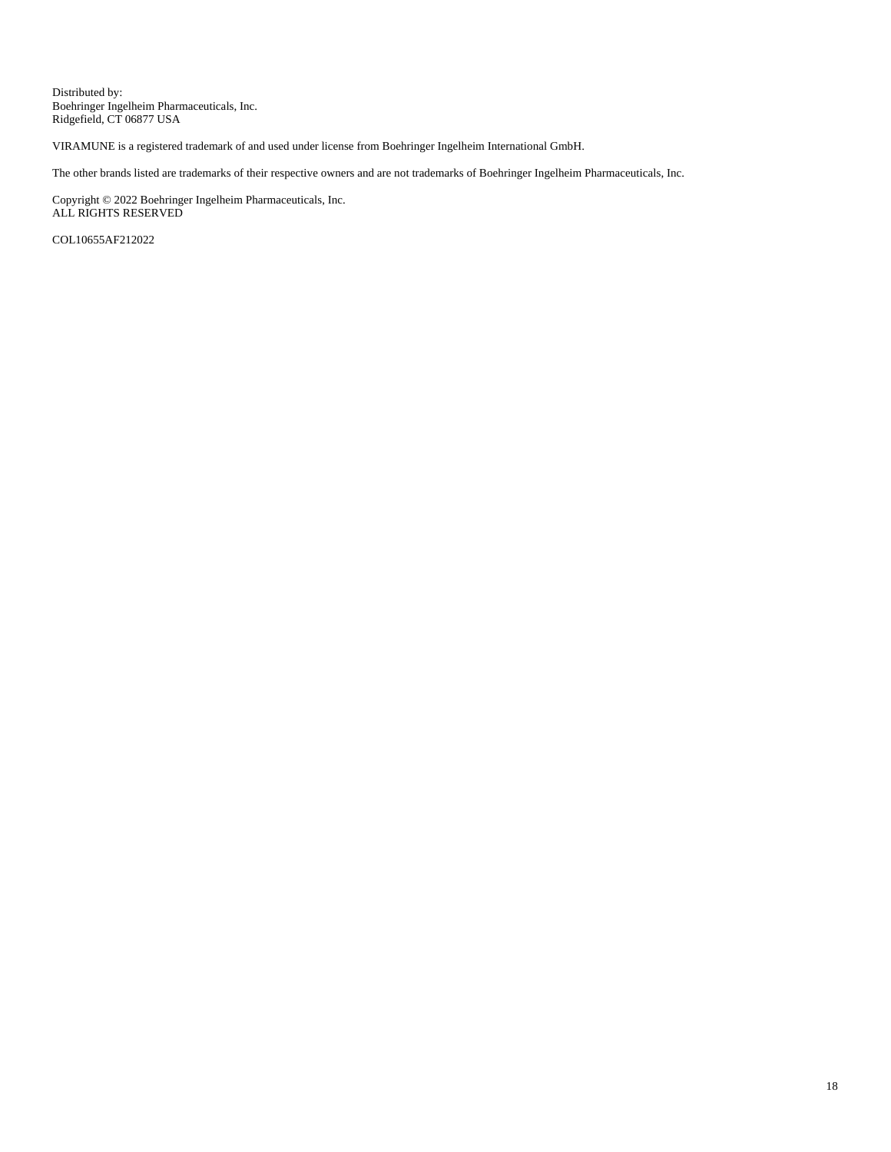Distributed by: Boehringer Ingelheim Pharmaceuticals, Inc. Ridgefield, CT 06877 USA

VIRAMUNE is a registered trademark of and used under license from Boehringer Ingelheim International GmbH.

The other brands listed are trademarks of their respective owners and are not trademarks of Boehringer Ingelheim Pharmaceuticals, Inc.

Copyright © 2022 Boehringer Ingelheim Pharmaceuticals, Inc. ALL RIGHTS RESERVED

COL10655AF212022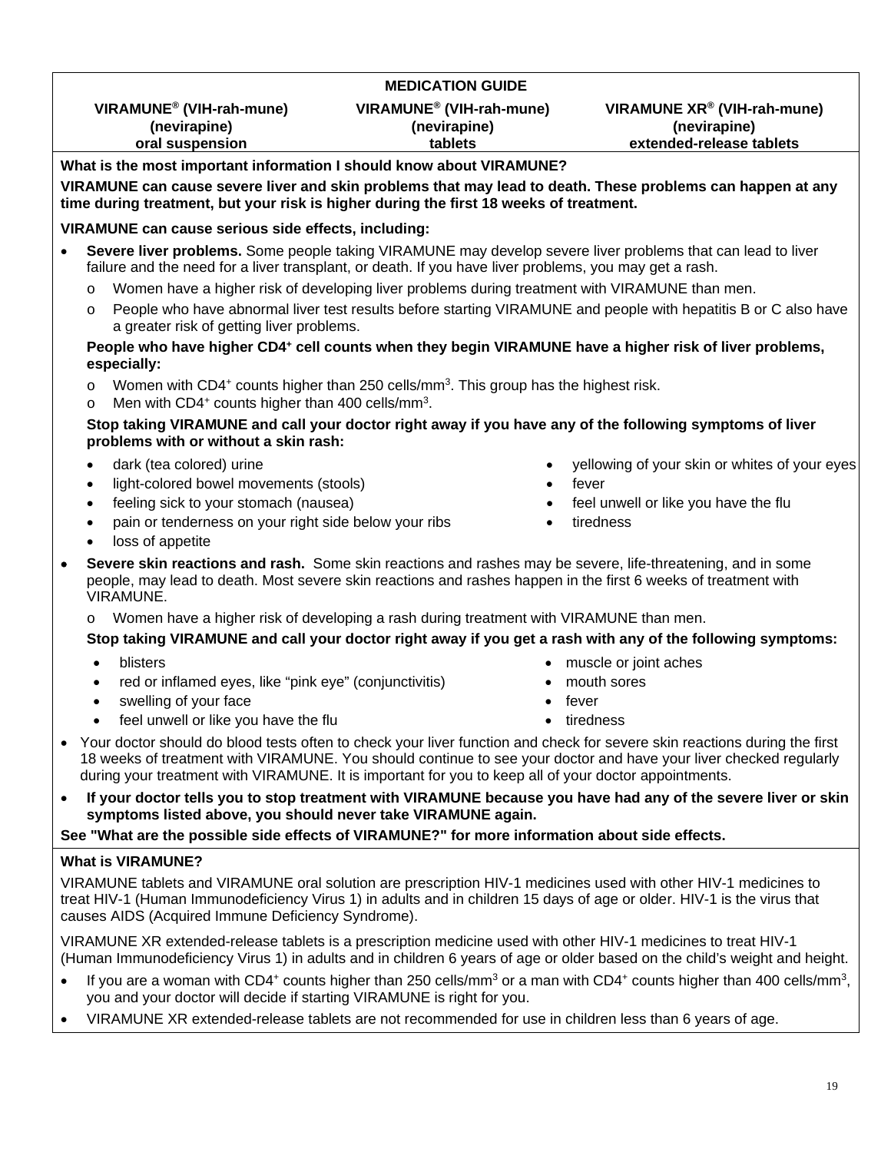# **MEDICATION GUIDE VIRAMUNE® (VIH-rah-mune) VIRAMUNE® (VIH-rah-mune) VIRAMUNE XR® (VIH-rah-mune) (nevirapine) (nevirapine) (nevirapine) oral suspension tablets extended-release tablets**

# **What is the most important information I should know about VIRAMUNE?**

**VIRAMUNE can cause severe liver and skin problems that may lead to death. These problems can happen at any time during treatment, but your risk is higher during the first 18 weeks of treatment.**

# **VIRAMUNE can cause serious side effects, including:**

- **Severe liver problems.** Some people taking VIRAMUNE may develop severe liver problems that can lead to liver failure and the need for a liver transplant, or death. If you have liver problems, you may get a rash.
	- o Women have a higher risk of developing liver problems during treatment with VIRAMUNE than men.
	- o People who have abnormal liver test results before starting VIRAMUNE and people with hepatitis B or C also have a greater risk of getting liver problems.

# People who have higher CD4<sup>+</sup> cell counts when they begin VIRAMUNE have a higher risk of liver problems, **especially:**

- $\circ$  Women with CD4<sup>+</sup> counts higher than 250 cells/mm<sup>3</sup>. This group has the highest risk.
- $\circ$  Men with CD4<sup>+</sup> counts higher than 400 cells/mm<sup>3</sup>.

# **Stop taking VIRAMUNE and call your doctor right away if you have any of the following symptoms of liver problems with or without a skin rash:**

- 
- light-colored bowel movements (stools) fever
- feeling sick to your stomach (nausea) **feel unwell or like you have the flu**
- pain or tenderness on your right side below your ribs  $\bullet$  tiredness
- loss of appetite
- dark (tea colored) urine  $\bullet$  yellowing of your skin or whites of your eyes
	-
	-
	-
- **Severe skin reactions and rash.** Some skin reactions and rashes may be severe, life-threatening, and in some people, may lead to death. Most severe skin reactions and rashes happen in the first 6 weeks of treatment with VIRAMUNE.
	- Women have a higher risk of developing a rash during treatment with VIRAMUNE than men.

# **Stop taking VIRAMUNE and call your doctor right away if you get a rash with any of the following symptoms:**

- 
- red or inflamed eyes, like "pink eye" (conjunctivitis)  $\bullet$  mouth sores
- swelling of your face swelling of your face  $\bullet$  fever
- feel unwell or like you have the flu state of the tiredness of the tiredness
- blisters **muscle or joint aches muscle or joint aches** 
	-
	-
	-
- Your doctor should do blood tests often to check your liver function and check for severe skin reactions during the first 18 weeks of treatment with VIRAMUNE. You should continue to see your doctor and have your liver checked regularly during your treatment with VIRAMUNE. It is important for you to keep all of your doctor appointments.
- **If your doctor tells you to stop treatment with VIRAMUNE because you have had any of the severe liver or skin symptoms listed above, you should never take VIRAMUNE again.**

# **See "What are the possible side effects of VIRAMUNE?" for more information about side effects.**

# **What is VIRAMUNE?**

VIRAMUNE tablets and VIRAMUNE oral solution are prescription HIV-1 medicines used with other HIV-1 medicines to treat HIV-1 (Human Immunodeficiency Virus 1) in adults and in children 15 days of age or older. HIV-1 is the virus that causes AIDS (Acquired Immune Deficiency Syndrome).

VIRAMUNE XR extended-release tablets is a prescription medicine used with other HIV-1 medicines to treat HIV-1 (Human Immunodeficiency Virus 1) in adults and in children 6 years of age or older based on the child's weight and height.

- If you are a woman with CD4+ counts higher than 250 cells/mm<sup>3</sup> or a man with CD4+ counts higher than 400 cells/mm<sup>3</sup>, you and your doctor will decide if starting VIRAMUNE is right for you.
- VIRAMUNE XR extended-release tablets are not recommended for use in children less than 6 years of age.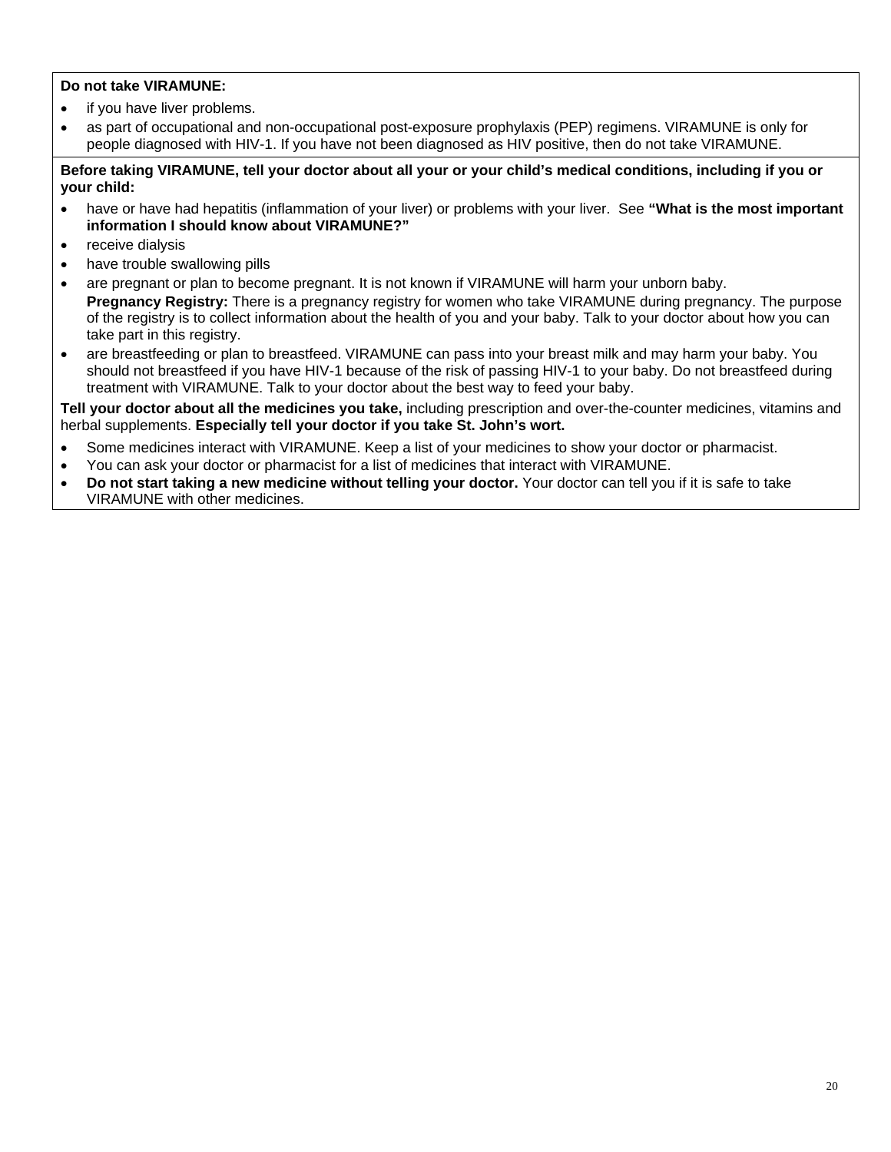# **Do not take VIRAMUNE:**

- if you have liver problems.
- as part of occupational and non-occupational post-exposure prophylaxis (PEP) regimens. VIRAMUNE is only for people diagnosed with HIV-1. If you have not been diagnosed as HIV positive, then do not take VIRAMUNE.

**Before taking VIRAMUNE, tell your doctor about all your or your child's medical conditions, including if you or your child:** 

- have or have had hepatitis (inflammation of your liver) or problems with your liver. See **"What is the most important information I should know about VIRAMUNE?"**
- receive dialysis
- have trouble swallowing pills
- are pregnant or plan to become pregnant. It is not known if VIRAMUNE will harm your unborn baby.  **Pregnancy Registry:** There is a pregnancy registry for women who take VIRAMUNE during pregnancy. The purpose of the registry is to collect information about the health of you and your baby. Talk to your doctor about how you can take part in this registry.
- are breastfeeding or plan to breastfeed. VIRAMUNE can pass into your breast milk and may harm your baby. You should not breastfeed if you have HIV-1 because of the risk of passing HIV-1 to your baby. Do not breastfeed during treatment with VIRAMUNE. Talk to your doctor about the best way to feed your baby.

**Tell your doctor about all the medicines you take,** including prescription and over-the-counter medicines, vitamins and herbal supplements. **Especially tell your doctor if you take St. John's wort.**

- Some medicines interact with VIRAMUNE. Keep a list of your medicines to show your doctor or pharmacist.
- You can ask your doctor or pharmacist for a list of medicines that interact with VIRAMUNE.
- **Do not start taking a new medicine without telling your doctor.** Your doctor can tell you if it is safe to take VIRAMUNE with other medicines.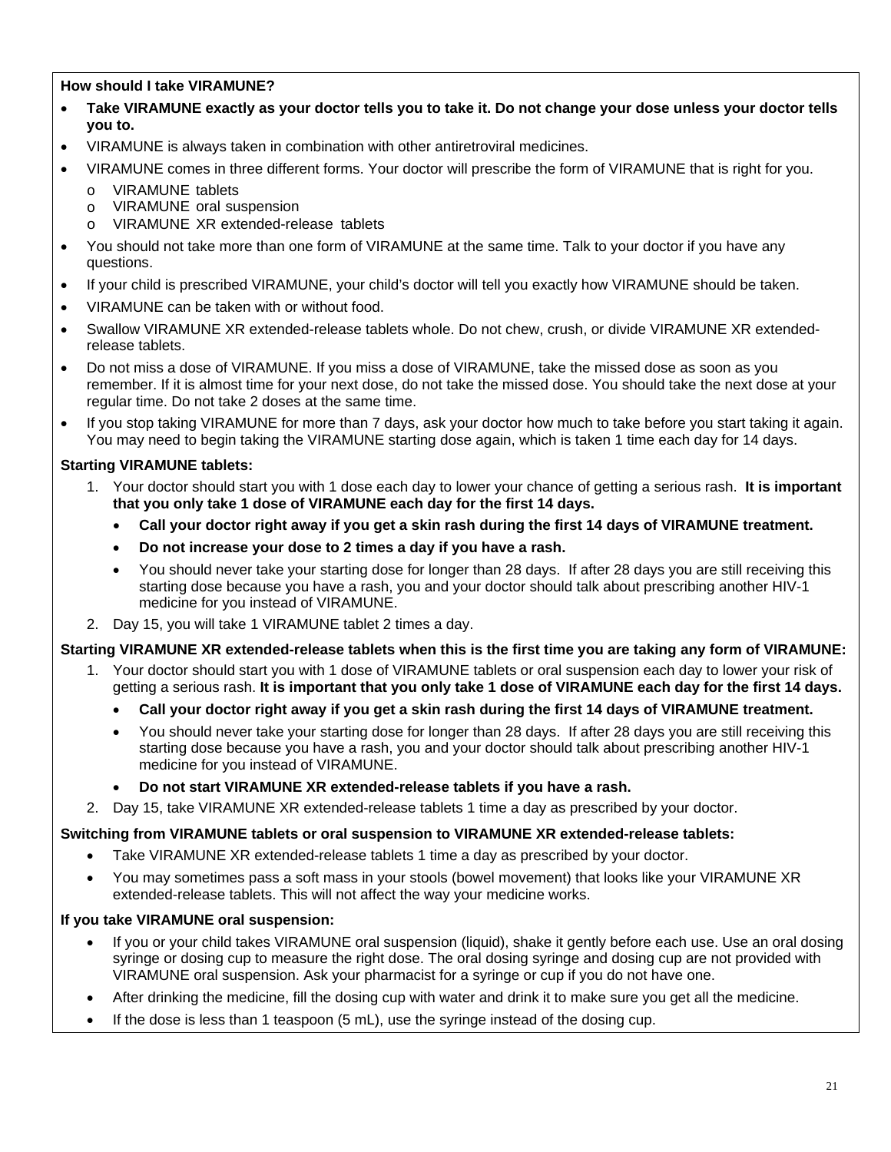**How should I take VIRAMUNE?** 

- **Take VIRAMUNE exactly as your doctor tells you to take it. Do not change your dose unless your doctor tells you to.**
- VIRAMUNE is always taken in combination with other antiretroviral medicines.
- VIRAMUNE comes in three different forms. Your doctor will prescribe the form of VIRAMUNE that is right for you.
	- o VIRAMUNE tablets
	- o VIRAMUNE oral suspension
	- o VIRAMUNE XR extended-release tablets
- You should not take more than one form of VIRAMUNE at the same time. Talk to your doctor if you have any questions.
- If your child is prescribed VIRAMUNE, your child's doctor will tell you exactly how VIRAMUNE should be taken.
- VIRAMUNE can be taken with or without food.
- Swallow VIRAMUNE XR extended-release tablets whole. Do not chew, crush, or divide VIRAMUNE XR extendedrelease tablets.
- Do not miss a dose of VIRAMUNE. If you miss a dose of VIRAMUNE, take the missed dose as soon as you remember. If it is almost time for your next dose, do not take the missed dose. You should take the next dose at your regular time. Do not take 2 doses at the same time.
- If you stop taking VIRAMUNE for more than 7 days, ask your doctor how much to take before you start taking it again. You may need to begin taking the VIRAMUNE starting dose again, which is taken 1 time each day for 14 days.

# **Starting VIRAMUNE tablets:**

- 1. Your doctor should start you with 1 dose each day to lower your chance of getting a serious rash. **It is important that you only take 1 dose of VIRAMUNE each day for the first 14 days.**
	- **Call your doctor right away if you get a skin rash during the first 14 days of VIRAMUNE treatment.**
	- **Do not increase your dose to 2 times a day if you have a rash.**
	- You should never take your starting dose for longer than 28 days. If after 28 days you are still receiving this starting dose because you have a rash, you and your doctor should talk about prescribing another HIV-1 medicine for you instead of VIRAMUNE.
- 2. Day 15, you will take 1 VIRAMUNE tablet 2 times a day.

## **Starting VIRAMUNE XR extended-release tablets when this is the first time you are taking any form of VIRAMUNE:**

- 1. Your doctor should start you with 1 dose of VIRAMUNE tablets or oral suspension each day to lower your risk of getting a serious rash. **It is important that you only take 1 dose of VIRAMUNE each day for the first 14 days.**
	- **Call your doctor right away if you get a skin rash during the first 14 days of VIRAMUNE treatment.**
	- You should never take your starting dose for longer than 28 days. If after 28 days you are still receiving this starting dose because you have a rash, you and your doctor should talk about prescribing another HIV-1 medicine for you instead of VIRAMUNE.
	- **Do not start VIRAMUNE XR extended-release tablets if you have a rash.**
- 2. Day 15, take VIRAMUNE XR extended-release tablets 1 time a day as prescribed by your doctor.

## **Switching from VIRAMUNE tablets or oral suspension to VIRAMUNE XR extended-release tablets:**

- Take VIRAMUNE XR extended-release tablets 1 time a day as prescribed by your doctor.
- You may sometimes pass a soft mass in your stools (bowel movement) that looks like your VIRAMUNE XR extended-release tablets. This will not affect the way your medicine works.

# **If you take VIRAMUNE oral suspension:**

- If you or your child takes VIRAMUNE oral suspension (liquid), shake it gently before each use. Use an oral dosing syringe or dosing cup to measure the right dose. The oral dosing syringe and dosing cup are not provided with VIRAMUNE oral suspension. Ask your pharmacist for a syringe or cup if you do not have one.
- After drinking the medicine, fill the dosing cup with water and drink it to make sure you get all the medicine.
- $\bullet$  If the dose is less than 1 teaspoon (5 mL), use the syringe instead of the dosing cup.